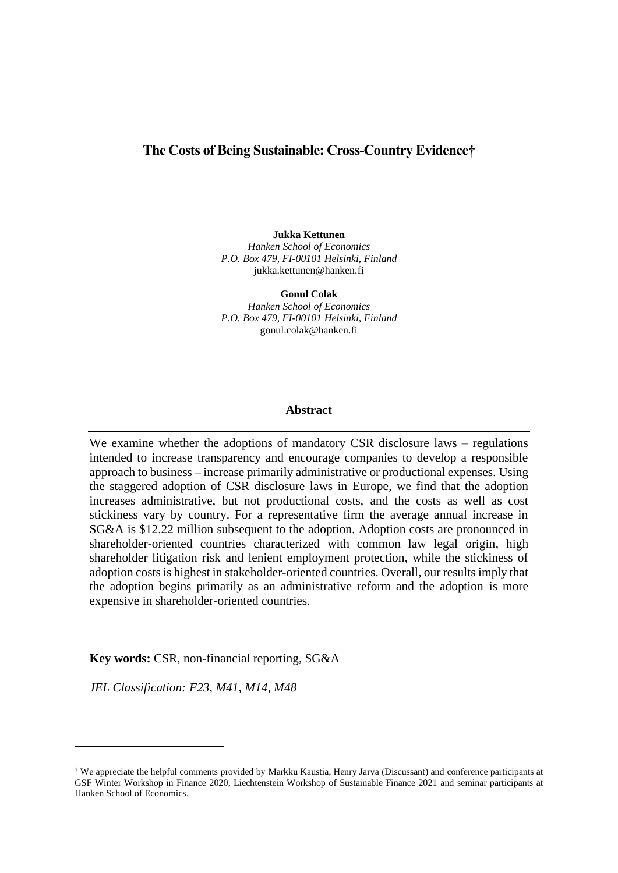### **The Costs of Being Sustainable: Cross-Country Evidence†**

**Jukka Kettunen**

*Hanken School of Economics P.O. Box 479, FI-00101 Helsinki, Finland* jukka.kettunen@hanken.fi

**Gonul Colak** *Hanken School of Economics P.O. Box 479, FI-00101 Helsinki, Finland* gonul.colak@hanken.fi

#### **Abstract**

We examine whether the adoptions of mandatory CSR disclosure laws – regulations intended to increase transparency and encourage companies to develop a responsible approach to business – increase primarily administrative or productional expenses. Using the staggered adoption of CSR disclosure laws in Europe, we find that the adoption increases administrative, but not productional costs, and the costs as well as cost stickiness vary by country. For a representative firm the average annual increase in SG&A is \$12.22 million subsequent to the adoption. Adoption costs are pronounced in shareholder-oriented countries characterized with common law legal origin, high shareholder litigation risk and lenient employment protection, while the stickiness of adoption costs is highest in stakeholder-oriented countries. Overall, our results imply that the adoption begins primarily as an administrative reform and the adoption is more expensive in shareholder-oriented countries.

**Key words:** CSR, non-financial reporting, SG&A

*JEL Classification: F23, M41, M14, M48*

<sup>†</sup> We appreciate the helpful comments provided by Markku Kaustia, Henry Jarva (Discussant) and conference participants at GSF Winter Workshop in Finance 2020, Liechtenstein Workshop of Sustainable Finance 2021 and seminar participants at Hanken School of Economics.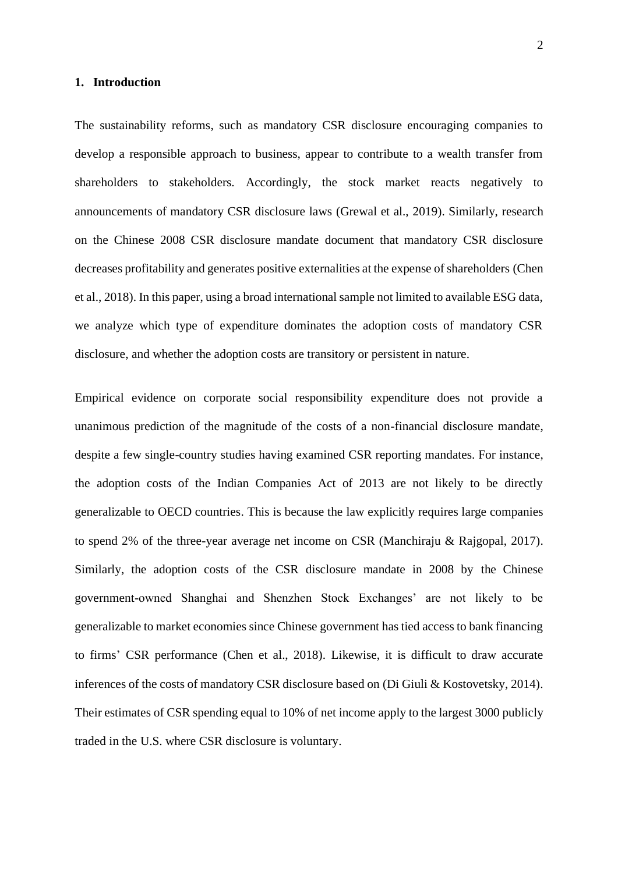#### **1. Introduction**

The sustainability reforms, such as mandatory CSR disclosure encouraging companies to develop a responsible approach to business, appear to contribute to a wealth transfer from shareholders to stakeholders. Accordingly, the stock market reacts negatively to announcements of mandatory CSR disclosure laws (Grewal et al., 2019). Similarly, research on the Chinese 2008 CSR disclosure mandate document that mandatory CSR disclosure decreases profitability and generates positive externalities at the expense of shareholders (Chen et al., 2018). In this paper, using a broad international sample not limited to available ESG data, we analyze which type of expenditure dominates the adoption costs of mandatory CSR disclosure, and whether the adoption costs are transitory or persistent in nature.

Empirical evidence on corporate social responsibility expenditure does not provide a unanimous prediction of the magnitude of the costs of a non-financial disclosure mandate, despite a few single-country studies having examined CSR reporting mandates. For instance, the adoption costs of the Indian Companies Act of 2013 are not likely to be directly generalizable to OECD countries. This is because the law explicitly requires large companies to spend 2% of the three-year average net income on CSR (Manchiraju & Rajgopal, 2017). Similarly, the adoption costs of the CSR disclosure mandate in 2008 by the Chinese government-owned Shanghai and Shenzhen Stock Exchanges' are not likely to be generalizable to market economies since Chinese government has tied access to bank financing to firms' CSR performance (Chen et al., 2018). Likewise, it is difficult to draw accurate inferences of the costs of mandatory CSR disclosure based on (Di Giuli & Kostovetsky, 2014). Their estimates of CSR spending equal to 10% of net income apply to the largest 3000 publicly traded in the U.S. where CSR disclosure is voluntary.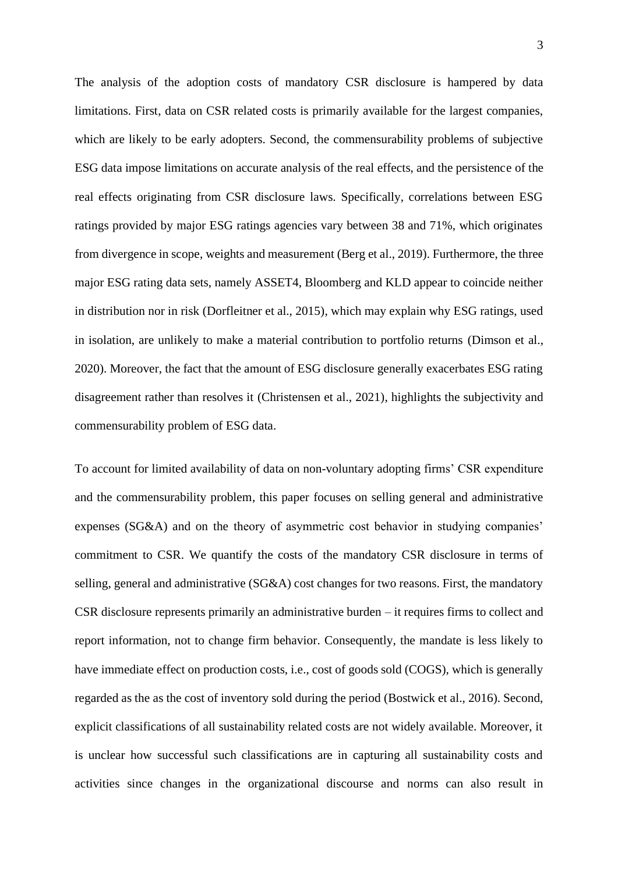The analysis of the adoption costs of mandatory CSR disclosure is hampered by data limitations. First, data on CSR related costs is primarily available for the largest companies, which are likely to be early adopters. Second, the commensurability problems of subjective ESG data impose limitations on accurate analysis of the real effects, and the persistence of the real effects originating from CSR disclosure laws. Specifically, correlations between ESG ratings provided by major ESG ratings agencies vary between 38 and 71%, which originates from divergence in scope, weights and measurement (Berg et al., 2019). Furthermore, the three major ESG rating data sets, namely ASSET4, Bloomberg and KLD appear to coincide neither in distribution nor in risk (Dorfleitner et al., 2015), which may explain why ESG ratings, used in isolation, are unlikely to make a material contribution to portfolio returns (Dimson et al., 2020). Moreover, the fact that the amount of ESG disclosure generally exacerbates ESG rating disagreement rather than resolves it (Christensen et al., 2021), highlights the subjectivity and commensurability problem of ESG data.

To account for limited availability of data on non-voluntary adopting firms' CSR expenditure and the commensurability problem, this paper focuses on selling general and administrative expenses (SG&A) and on the theory of asymmetric cost behavior in studying companies' commitment to CSR. We quantify the costs of the mandatory CSR disclosure in terms of selling, general and administrative (SG&A) cost changes for two reasons. First, the mandatory CSR disclosure represents primarily an administrative burden – it requires firms to collect and report information, not to change firm behavior. Consequently, the mandate is less likely to have immediate effect on production costs, i.e., cost of goods sold (COGS), which is generally regarded as the as the cost of inventory sold during the period (Bostwick et al., 2016). Second, explicit classifications of all sustainability related costs are not widely available. Moreover, it is unclear how successful such classifications are in capturing all sustainability costs and activities since changes in the organizational discourse and norms can also result in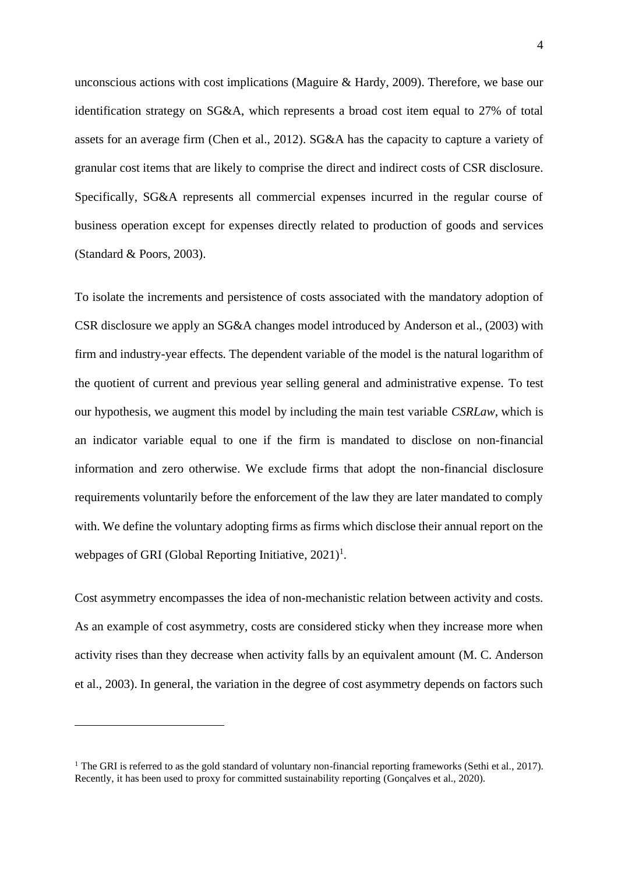unconscious actions with cost implications (Maguire & Hardy, 2009). Therefore, we base our identification strategy on SG&A, which represents a broad cost item equal to 27% of total assets for an average firm (Chen et al., 2012). SG&A has the capacity to capture a variety of granular cost items that are likely to comprise the direct and indirect costs of CSR disclosure. Specifically, SG&A represents all commercial expenses incurred in the regular course of business operation except for expenses directly related to production of goods and services (Standard & Poors, 2003).

To isolate the increments and persistence of costs associated with the mandatory adoption of CSR disclosure we apply an SG&A changes model introduced by Anderson et al., (2003) with firm and industry-year effects. The dependent variable of the model is the natural logarithm of the quotient of current and previous year selling general and administrative expense. To test our hypothesis, we augment this model by including the main test variable *CSRLaw*, which is an indicator variable equal to one if the firm is mandated to disclose on non-financial information and zero otherwise. We exclude firms that adopt the non-financial disclosure requirements voluntarily before the enforcement of the law they are later mandated to comply with. We define the voluntary adopting firms as firms which disclose their annual report on the webpages of GRI (Global Reporting Initiative,  $2021$ )<sup>1</sup>.

Cost asymmetry encompasses the idea of non-mechanistic relation between activity and costs. As an example of cost asymmetry, costs are considered sticky when they increase more when activity rises than they decrease when activity falls by an equivalent amount (M. C. Anderson et al., 2003). In general, the variation in the degree of cost asymmetry depends on factors such

<sup>&</sup>lt;sup>1</sup> The GRI is referred to as the gold standard of voluntary non-financial reporting frameworks (Sethi et al., 2017). Recently, it has been used to proxy for committed sustainability reporting (Gonçalves et al., 2020).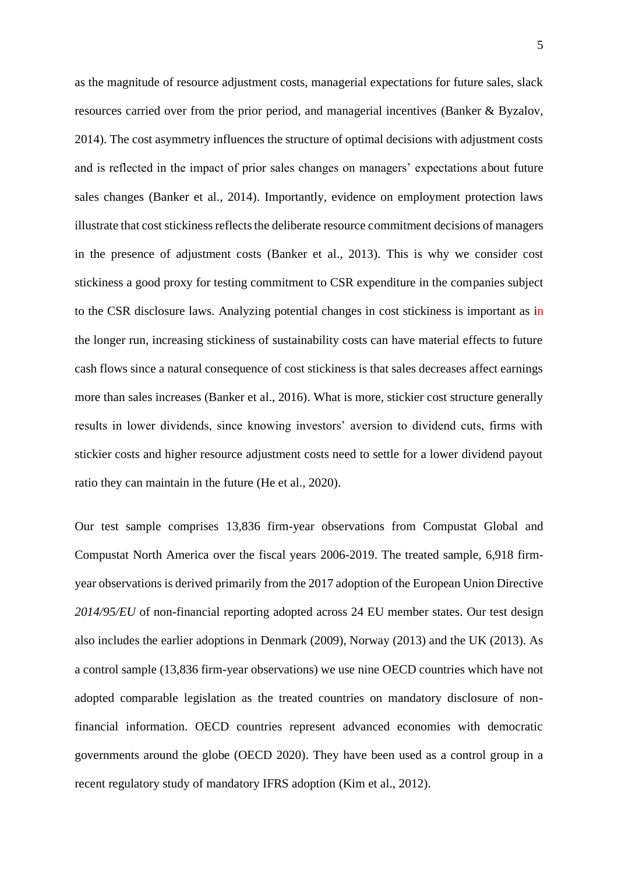as the magnitude of resource adjustment costs, managerial expectations for future sales, slack resources carried over from the prior period, and managerial incentives (Banker & Byzalov, 2014). The cost asymmetry influences the structure of optimal decisions with adjustment costs and is reflected in the impact of prior sales changes on managers' expectations about future sales changes (Banker et al., 2014). Importantly, evidence on employment protection laws illustrate that cost stickiness reflects the deliberate resource commitment decisions of managers in the presence of adjustment costs (Banker et al., 2013). This is why we consider cost stickiness a good proxy for testing commitment to CSR expenditure in the companies subject to the CSR disclosure laws. Analyzing potential changes in cost stickiness is important as in the longer run, increasing stickiness of sustainability costs can have material effects to future cash flows since a natural consequence of cost stickiness is that sales decreases affect earnings more than sales increases (Banker et al., 2016). What is more, stickier cost structure generally results in lower dividends, since knowing investors' aversion to dividend cuts, firms with stickier costs and higher resource adjustment costs need to settle for a lower dividend payout ratio they can maintain in the future (He et al., 2020).

Our test sample comprises 13,836 firm-year observations from Compustat Global and Compustat North America over the fiscal years 2006-2019. The treated sample, 6,918 firmyear observations is derived primarily from the 2017 adoption of the European Union Directive *2014/95/EU* of non-financial reporting adopted across 24 EU member states. Our test design also includes the earlier adoptions in Denmark (2009), Norway (2013) and the UK (2013). As a control sample (13,836 firm-year observations) we use nine OECD countries which have not adopted comparable legislation as the treated countries on mandatory disclosure of nonfinancial information. OECD countries represent advanced economies with democratic governments around the globe (OECD 2020). They have been used as a control group in a recent regulatory study of mandatory IFRS adoption (Kim et al., 2012).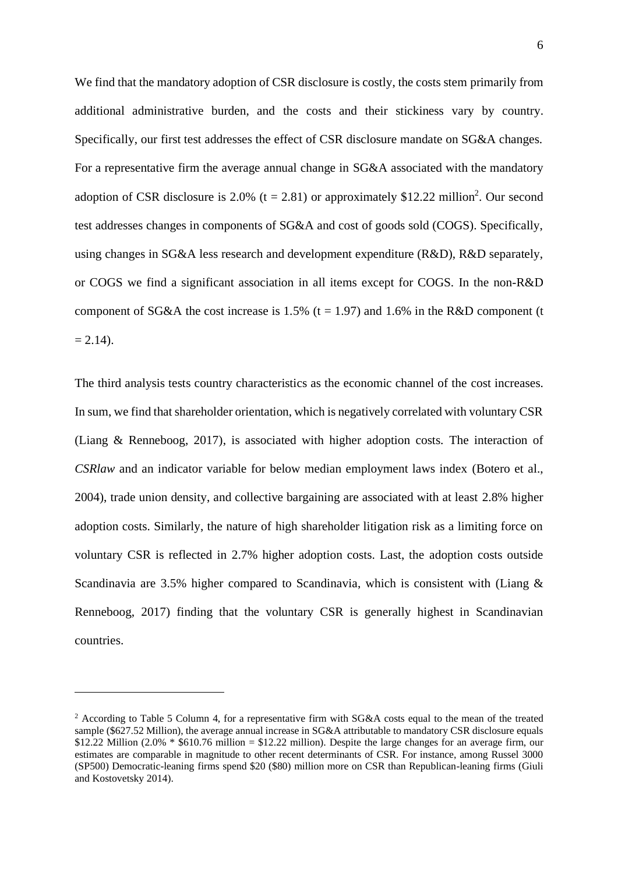We find that the mandatory adoption of CSR disclosure is costly, the costs stem primarily from additional administrative burden, and the costs and their stickiness vary by country. Specifically, our first test addresses the effect of CSR disclosure mandate on SG&A changes. For a representative firm the average annual change in SG&A associated with the mandatory adoption of CSR disclosure is 2.0% ( $t = 2.81$ ) or approximately \$12.22 million<sup>2</sup>. Our second test addresses changes in components of SG&A and cost of goods sold (COGS). Specifically, using changes in SG&A less research and development expenditure (R&D), R&D separately, or COGS we find a significant association in all items except for COGS. In the non-R&D component of SG&A the cost increase is 1.5% ( $t = 1.97$ ) and 1.6% in the R&D component (t  $= 2.14$ ).

The third analysis tests country characteristics as the economic channel of the cost increases. In sum, we find that shareholder orientation, which is negatively correlated with voluntary CSR (Liang & Renneboog, 2017), is associated with higher adoption costs. The interaction of *CSRlaw* and an indicator variable for below median employment laws index (Botero et al., 2004), trade union density, and collective bargaining are associated with at least 2.8% higher adoption costs. Similarly, the nature of high shareholder litigation risk as a limiting force on voluntary CSR is reflected in 2.7% higher adoption costs. Last, the adoption costs outside Scandinavia are 3.5% higher compared to Scandinavia, which is consistent with (Liang & Renneboog, 2017) finding that the voluntary CSR is generally highest in Scandinavian countries.

<sup>2</sup> According to Table 5 Column 4, for a representative firm with SG&A costs equal to the mean of the treated sample (\$627.52 Million), the average annual increase in SG&A attributable to mandatory CSR disclosure equals  $$12.22$  Million (2.0%  $*$  \$610.76 million = \$12.22 million). Despite the large changes for an average firm, our estimates are comparable in magnitude to other recent determinants of CSR. For instance, among Russel 3000 (SP500) Democratic-leaning firms spend \$20 (\$80) million more on CSR than Republican-leaning firms (Giuli and Kostovetsky 2014).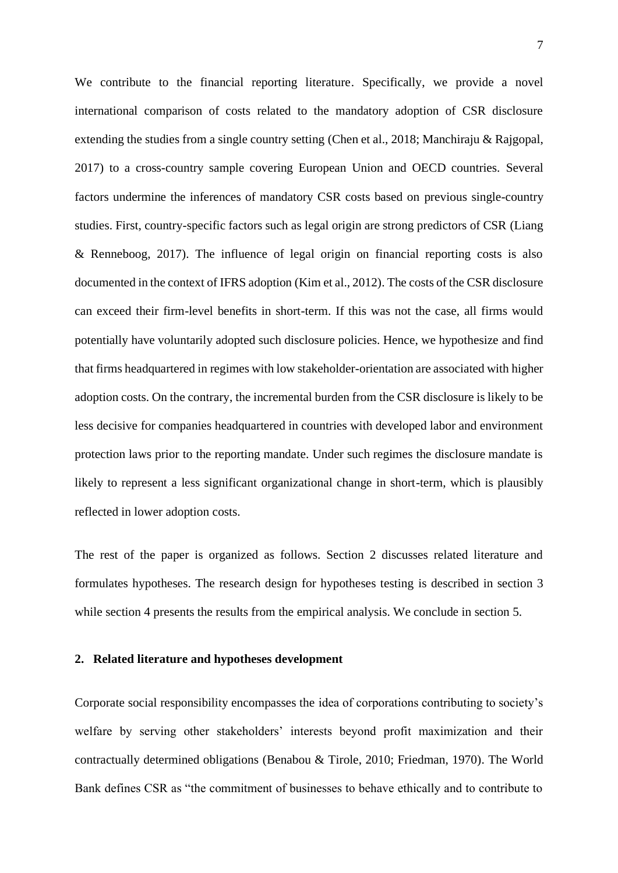We contribute to the financial reporting literature. Specifically, we provide a novel international comparison of costs related to the mandatory adoption of CSR disclosure extending the studies from a single country setting (Chen et al., 2018; Manchiraju & Rajgopal, 2017) to a cross-country sample covering European Union and OECD countries. Several factors undermine the inferences of mandatory CSR costs based on previous single-country studies. First, country-specific factors such as legal origin are strong predictors of CSR (Liang & Renneboog, 2017). The influence of legal origin on financial reporting costs is also documented in the context of IFRS adoption (Kim et al., 2012). The costs of the CSR disclosure can exceed their firm-level benefits in short-term. If this was not the case, all firms would potentially have voluntarily adopted such disclosure policies. Hence, we hypothesize and find that firms headquartered in regimes with low stakeholder-orientation are associated with higher adoption costs. On the contrary, the incremental burden from the CSR disclosure is likely to be less decisive for companies headquartered in countries with developed labor and environment protection laws prior to the reporting mandate. Under such regimes the disclosure mandate is likely to represent a less significant organizational change in short-term, which is plausibly reflected in lower adoption costs.

The rest of the paper is organized as follows. Section 2 discusses related literature and formulates hypotheses. The research design for hypotheses testing is described in section 3 while section 4 presents the results from the empirical analysis. We conclude in section 5.

### **2. Related literature and hypotheses development**

Corporate social responsibility encompasses the idea of corporations contributing to society's welfare by serving other stakeholders' interests beyond profit maximization and their contractually determined obligations (Benabou & Tirole, 2010; Friedman, 1970). The World Bank defines CSR as "the commitment of businesses to behave ethically and to contribute to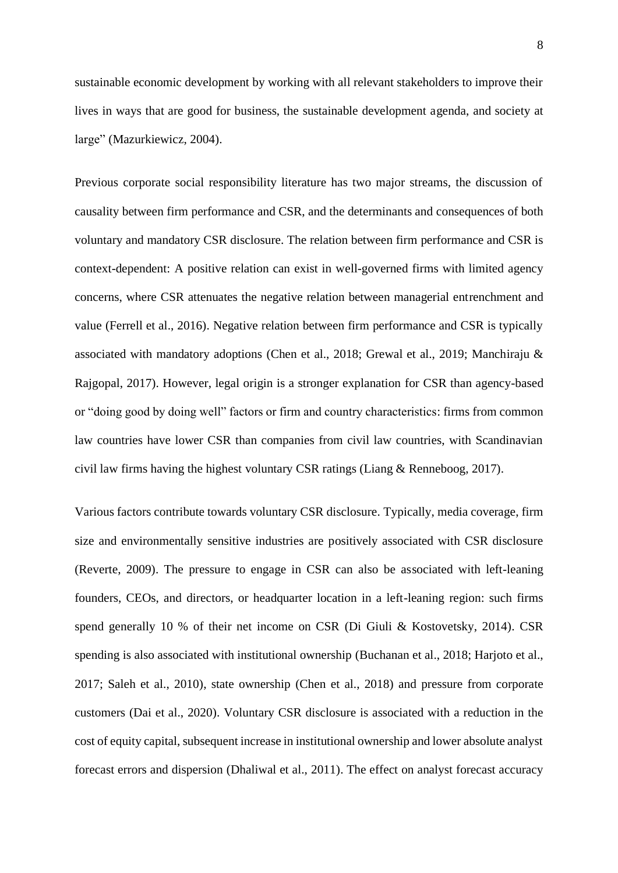sustainable economic development by working with all relevant stakeholders to improve their lives in ways that are good for business, the sustainable development agenda, and society at large" (Mazurkiewicz, 2004).

Previous corporate social responsibility literature has two major streams, the discussion of causality between firm performance and CSR, and the determinants and consequences of both voluntary and mandatory CSR disclosure. The relation between firm performance and CSR is context-dependent: A positive relation can exist in well-governed firms with limited agency concerns, where CSR attenuates the negative relation between managerial entrenchment and value (Ferrell et al., 2016). Negative relation between firm performance and CSR is typically associated with mandatory adoptions (Chen et al., 2018; Grewal et al., 2019; Manchiraju & Rajgopal, 2017). However, legal origin is a stronger explanation for CSR than agency-based or "doing good by doing well" factors or firm and country characteristics: firms from common law countries have lower CSR than companies from civil law countries, with Scandinavian civil law firms having the highest voluntary CSR ratings (Liang & Renneboog, 2017).

Various factors contribute towards voluntary CSR disclosure. Typically, media coverage, firm size and environmentally sensitive industries are positively associated with CSR disclosure (Reverte, 2009). The pressure to engage in CSR can also be associated with left-leaning founders, CEOs, and directors, or headquarter location in a left-leaning region: such firms spend generally 10 % of their net income on CSR (Di Giuli & Kostovetsky, 2014). CSR spending is also associated with institutional ownership (Buchanan et al., 2018; Harjoto et al., 2017; Saleh et al., 2010), state ownership (Chen et al., 2018) and pressure from corporate customers (Dai et al., 2020). Voluntary CSR disclosure is associated with a reduction in the cost of equity capital, subsequent increase in institutional ownership and lower absolute analyst forecast errors and dispersion (Dhaliwal et al., 2011). The effect on analyst forecast accuracy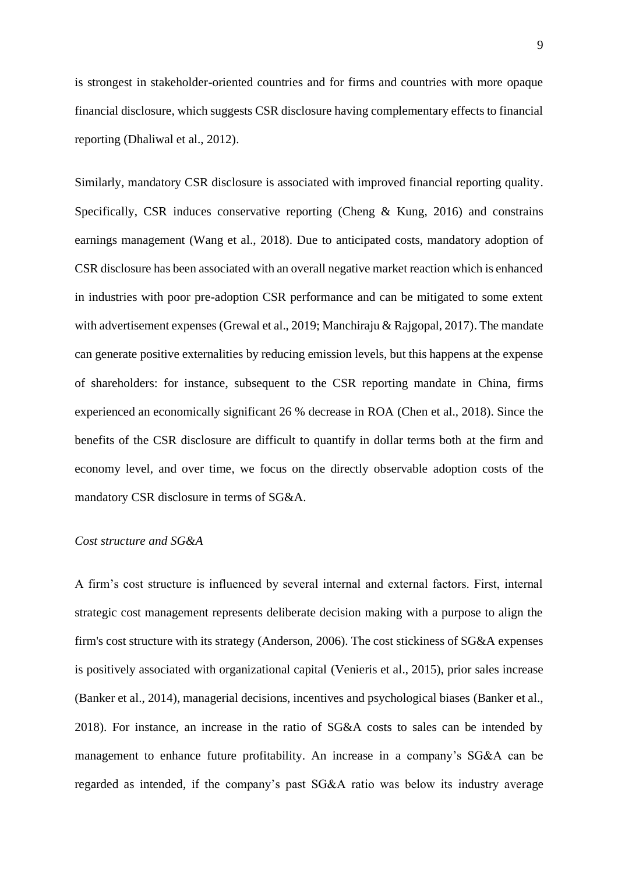is strongest in stakeholder-oriented countries and for firms and countries with more opaque financial disclosure, which suggests CSR disclosure having complementary effects to financial reporting (Dhaliwal et al., 2012).

Similarly, mandatory CSR disclosure is associated with improved financial reporting quality. Specifically, CSR induces conservative reporting (Cheng  $\&$  Kung, 2016) and constrains earnings management (Wang et al., 2018). Due to anticipated costs, mandatory adoption of CSR disclosure has been associated with an overall negative market reaction which is enhanced in industries with poor pre-adoption CSR performance and can be mitigated to some extent with advertisement expenses (Grewal et al., 2019; Manchiraju & Rajgopal, 2017). The mandate can generate positive externalities by reducing emission levels, but this happens at the expense of shareholders: for instance, subsequent to the CSR reporting mandate in China, firms experienced an economically significant 26 % decrease in ROA (Chen et al., 2018). Since the benefits of the CSR disclosure are difficult to quantify in dollar terms both at the firm and economy level, and over time, we focus on the directly observable adoption costs of the mandatory CSR disclosure in terms of SG&A.

### *Cost structure and SG&A*

A firm's cost structure is influenced by several internal and external factors. First, internal strategic cost management represents deliberate decision making with a purpose to align the firm's cost structure with its strategy (Anderson, 2006). The cost stickiness of SG&A expenses is positively associated with organizational capital (Venieris et al., 2015), prior sales increase (Banker et al., 2014), managerial decisions, incentives and psychological biases (Banker et al., 2018). For instance, an increase in the ratio of SG&A costs to sales can be intended by management to enhance future profitability. An increase in a company's SG&A can be regarded as intended, if the company's past SG&A ratio was below its industry average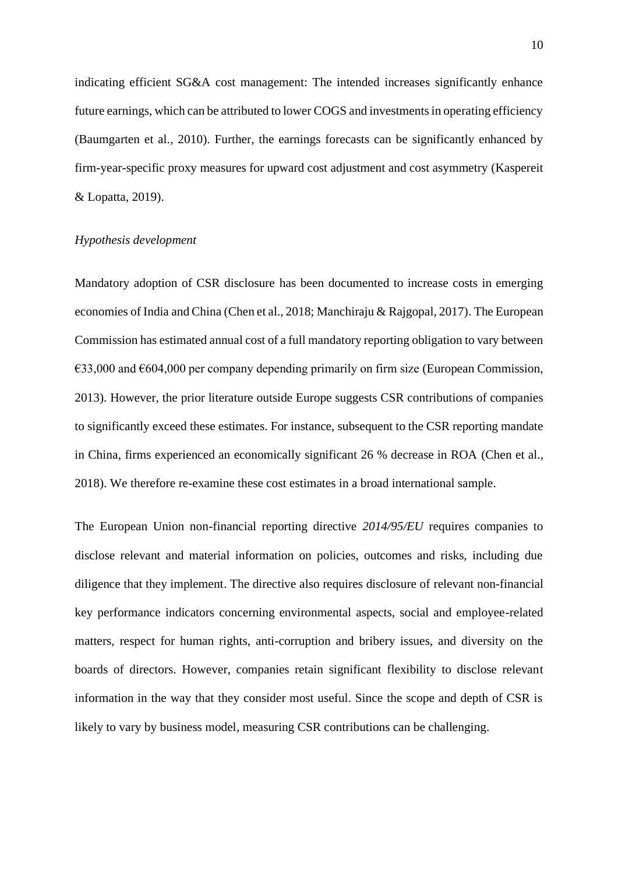indicating efficient SG&A cost management: The intended increases significantly enhance future earnings, which can be attributed to lower COGS and investments in operating efficiency (Baumgarten et al., 2010). Further, the earnings forecasts can be significantly enhanced by firm-year-specific proxy measures for upward cost adjustment and cost asymmetry (Kaspereit & Lopatta, 2019).

### *Hypothesis development*

Mandatory adoption of CSR disclosure has been documented to increase costs in emerging economies of India and China (Chen et al., 2018; Manchiraju & Rajgopal, 2017). The European Commission has estimated annual cost of a full mandatory reporting obligation to vary between  $\epsilon$ 33,000 and  $\epsilon$ 604,000 per company depending primarily on firm size (European Commission, 2013). However, the prior literature outside Europe suggests CSR contributions of companies to significantly exceed these estimates. For instance, subsequent to the CSR reporting mandate in China, firms experienced an economically significant 26 % decrease in ROA (Chen et al., 2018). We therefore re-examine these cost estimates in a broad international sample.

The European Union non-financial reporting directive *2014/95/EU* requires companies to disclose relevant and material information on policies, outcomes and risks, including due diligence that they implement. The directive also requires disclosure of relevant non-financial key performance indicators concerning environmental aspects, social and employee-related matters, respect for human rights, anti-corruption and bribery issues, and diversity on the boards of directors. However, companies retain significant flexibility to disclose relevant information in the way that they consider most useful. Since the scope and depth of CSR is likely to vary by business model, measuring CSR contributions can be challenging.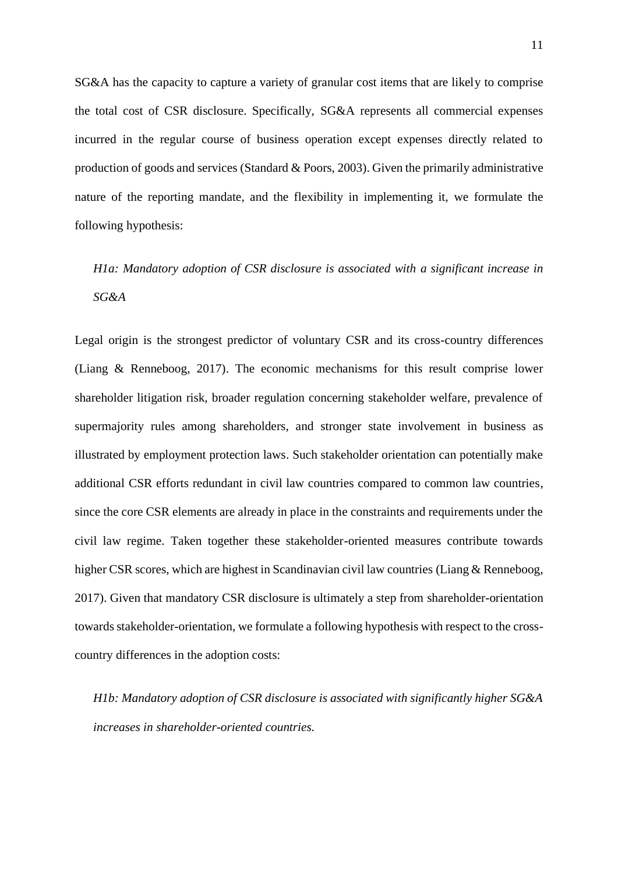SG&A has the capacity to capture a variety of granular cost items that are likely to comprise the total cost of CSR disclosure. Specifically, SG&A represents all commercial expenses incurred in the regular course of business operation except expenses directly related to production of goods and services (Standard & Poors, 2003). Given the primarily administrative nature of the reporting mandate, and the flexibility in implementing it, we formulate the following hypothesis:

# *H1a: Mandatory adoption of CSR disclosure is associated with a significant increase in SG&A*

Legal origin is the strongest predictor of voluntary CSR and its cross-country differences (Liang & Renneboog, 2017). The economic mechanisms for this result comprise lower shareholder litigation risk, broader regulation concerning stakeholder welfare, prevalence of supermajority rules among shareholders, and stronger state involvement in business as illustrated by employment protection laws. Such stakeholder orientation can potentially make additional CSR efforts redundant in civil law countries compared to common law countries, since the core CSR elements are already in place in the constraints and requirements under the civil law regime. Taken together these stakeholder-oriented measures contribute towards higher CSR scores, which are highest in Scandinavian civil law countries (Liang & Renneboog, 2017). Given that mandatory CSR disclosure is ultimately a step from shareholder-orientation towards stakeholder-orientation, we formulate a following hypothesis with respect to the crosscountry differences in the adoption costs:

*H1b: Mandatory adoption of CSR disclosure is associated with significantly higher SG&A increases in shareholder-oriented countries.*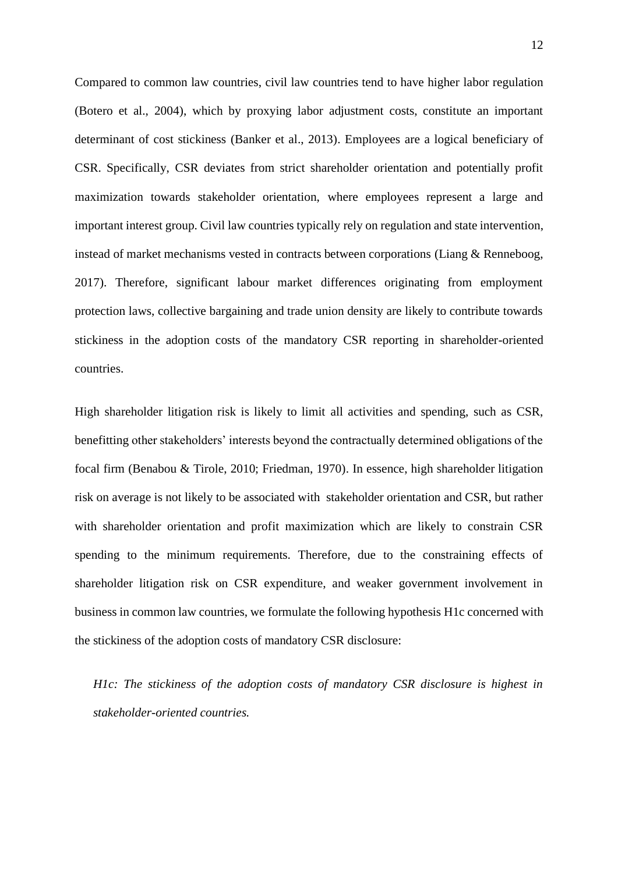Compared to common law countries, civil law countries tend to have higher labor regulation (Botero et al., 2004), which by proxying labor adjustment costs, constitute an important determinant of cost stickiness (Banker et al., 2013). Employees are a logical beneficiary of CSR. Specifically, CSR deviates from strict shareholder orientation and potentially profit maximization towards stakeholder orientation, where employees represent a large and important interest group. Civil law countries typically rely on regulation and state intervention, instead of market mechanisms vested in contracts between corporations (Liang & Renneboog, 2017). Therefore, significant labour market differences originating from employment protection laws, collective bargaining and trade union density are likely to contribute towards stickiness in the adoption costs of the mandatory CSR reporting in shareholder-oriented countries.

High shareholder litigation risk is likely to limit all activities and spending, such as CSR, benefitting other stakeholders' interests beyond the contractually determined obligations of the focal firm (Benabou & Tirole, 2010; Friedman, 1970). In essence, high shareholder litigation risk on average is not likely to be associated with stakeholder orientation and CSR, but rather with shareholder orientation and profit maximization which are likely to constrain CSR spending to the minimum requirements. Therefore, due to the constraining effects of shareholder litigation risk on CSR expenditure, and weaker government involvement in business in common law countries, we formulate the following hypothesis H1c concerned with the stickiness of the adoption costs of mandatory CSR disclosure:

*H1c: The stickiness of the adoption costs of mandatory CSR disclosure is highest in stakeholder-oriented countries.*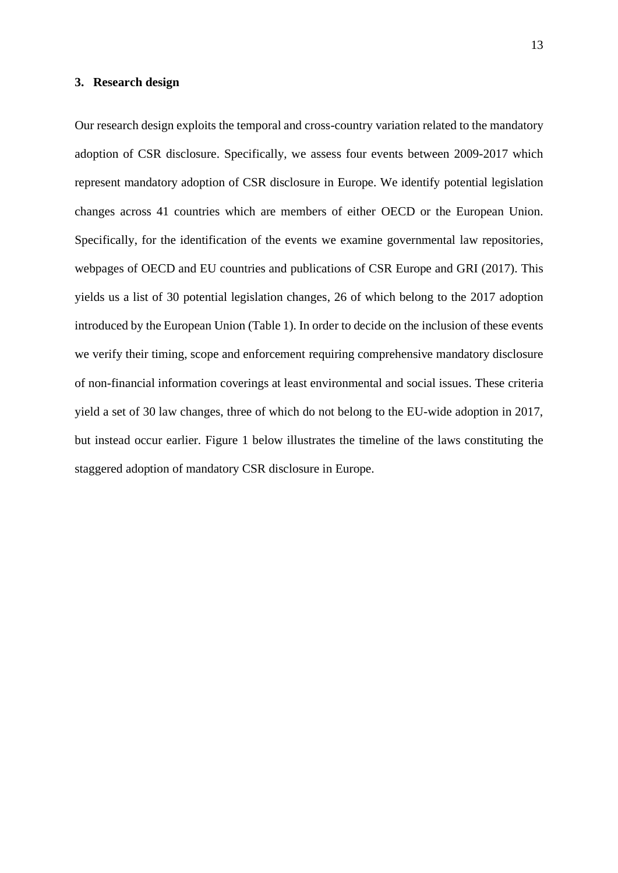#### **3. Research design**

Our research design exploits the temporal and cross-country variation related to the mandatory adoption of CSR disclosure. Specifically, we assess four events between 2009-2017 which represent mandatory adoption of CSR disclosure in Europe. We identify potential legislation changes across 41 countries which are members of either OECD or the European Union. Specifically, for the identification of the events we examine governmental law repositories, webpages of OECD and EU countries and publications of CSR Europe and GRI (2017). This yields us a list of 30 potential legislation changes, 26 of which belong to the 2017 adoption introduced by the European Union (Table 1). In order to decide on the inclusion of these events we verify their timing, scope and enforcement requiring comprehensive mandatory disclosure of non-financial information coverings at least environmental and social issues. These criteria yield a set of 30 law changes, three of which do not belong to the EU-wide adoption in 2017, but instead occur earlier. Figure 1 below illustrates the timeline of the laws constituting the staggered adoption of mandatory CSR disclosure in Europe.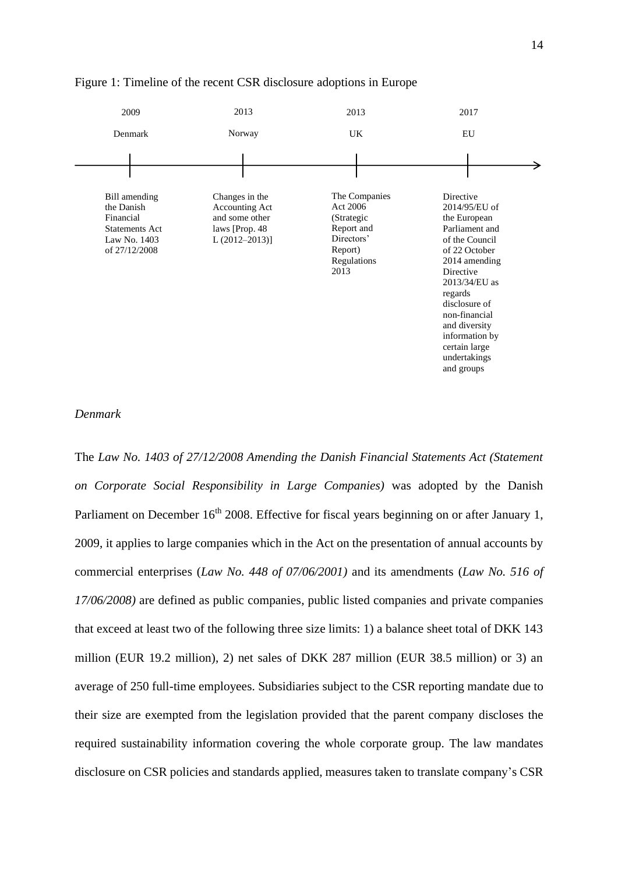

#### Figure 1: Timeline of the recent CSR disclosure adoptions in Europe

### *Denmark*

The *Law No. 1403 of 27/12/2008 Amending the Danish Financial Statements Act (Statement on Corporate Social Responsibility in Large Companies)* was adopted by the Danish Parliament on December  $16<sup>th</sup> 2008$ . Effective for fiscal years beginning on or after January 1, 2009, it applies to large companies which in the Act on the presentation of annual accounts by commercial enterprises (*Law No. 448 of 07/06/2001)* and its amendments (*Law No. 516 of 17/06/2008)* are defined as public companies, public listed companies and private companies that exceed at least two of the following three size limits: 1) a balance sheet total of DKK 143 million (EUR 19.2 million), 2) net sales of DKK 287 million (EUR 38.5 million) or 3) an average of 250 full-time employees. Subsidiaries subject to the CSR reporting mandate due to their size are exempted from the legislation provided that the parent company discloses the required sustainability information covering the whole corporate group. The law mandates disclosure on CSR policies and standards applied, measures taken to translate company's CSR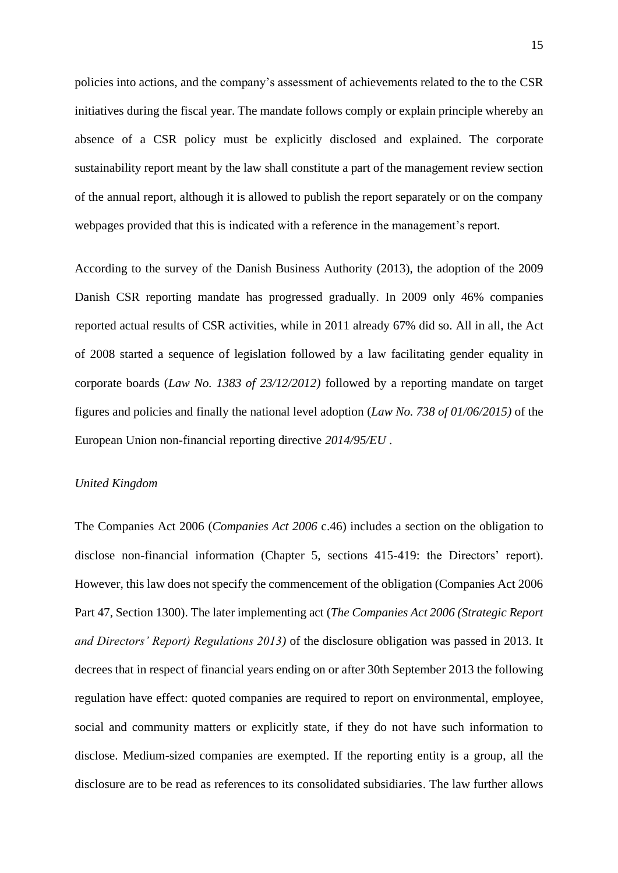policies into actions, and the company's assessment of achievements related to the to the CSR initiatives during the fiscal year. The mandate follows comply or explain principle whereby an absence of a CSR policy must be explicitly disclosed and explained. The corporate sustainability report meant by the law shall constitute a part of the management review section of the annual report, although it is allowed to publish the report separately or on the company webpages provided that this is indicated with a reference in the management's report.

According to the survey of the Danish Business Authority (2013), the adoption of the 2009 Danish CSR reporting mandate has progressed gradually. In 2009 only 46% companies reported actual results of CSR activities, while in 2011 already 67% did so. All in all, the Act of 2008 started a sequence of legislation followed by a law facilitating gender equality in corporate boards (*Law No. 1383 of 23/12/2012)* followed by a reporting mandate on target figures and policies and finally the national level adoption (*Law No. 738 of 01/06/2015)* of the European Union non-financial reporting directive *2014/95/EU* .

### *United Kingdom*

The Companies Act 2006 (*Companies Act 2006* c.46) includes a section on the obligation to disclose non-financial information (Chapter 5, sections 415-419: the Directors' report). However, this law does not specify the commencement of the obligation (Companies Act 2006 Part 47, Section 1300). The later implementing act (*The Companies Act 2006 (Strategic Report and Directors' Report) Regulations 2013)* of the disclosure obligation was passed in 2013. It decrees that in respect of financial years ending on or after 30th September 2013 the following regulation have effect: quoted companies are required to report on environmental, employee, social and community matters or explicitly state, if they do not have such information to disclose. Medium-sized companies are exempted. If the reporting entity is a group, all the disclosure are to be read as references to its consolidated subsidiaries. The law further allows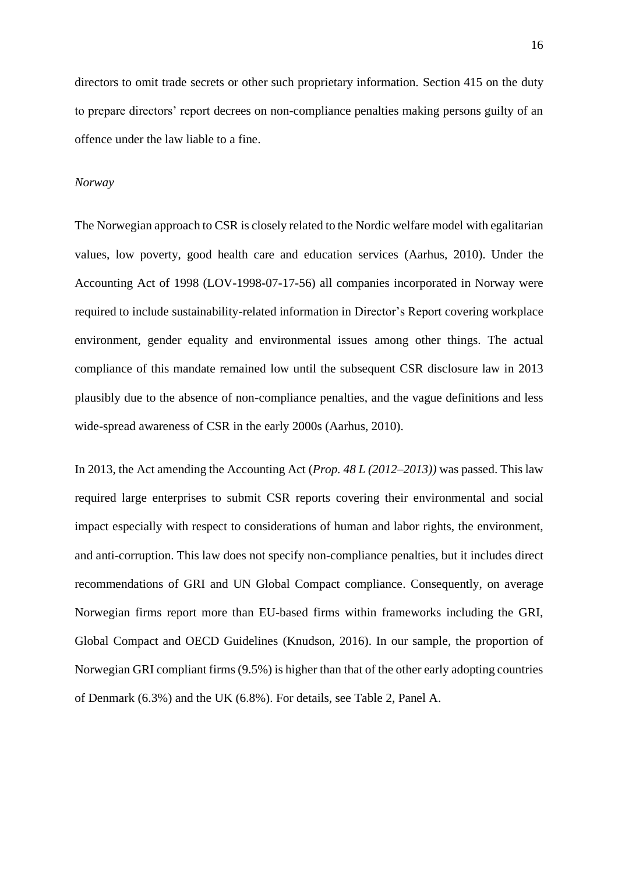directors to omit trade secrets or other such proprietary information. Section 415 on the duty to prepare directors' report decrees on non-compliance penalties making persons guilty of an offence under the law liable to a fine.

#### *Norway*

The Norwegian approach to CSR is closely related to the Nordic welfare model with egalitarian values, low poverty, good health care and education services (Aarhus, 2010). Under the Accounting Act of 1998 (LOV-1998-07-17-56) all companies incorporated in Norway were required to include sustainability-related information in Director's Report covering workplace environment, gender equality and environmental issues among other things. The actual compliance of this mandate remained low until the subsequent CSR disclosure law in 2013 plausibly due to the absence of non-compliance penalties, and the vague definitions and less wide-spread awareness of CSR in the early 2000s (Aarhus, 2010).

In 2013, the Act amending the Accounting Act (*Prop. 48 L (2012–2013))* was passed. This law required large enterprises to submit CSR reports covering their environmental and social impact especially with respect to considerations of human and labor rights, the environment, and anti-corruption. This law does not specify non-compliance penalties, but it includes direct recommendations of GRI and UN Global Compact compliance. Consequently, on average Norwegian firms report more than EU-based firms within frameworks including the GRI, Global Compact and OECD Guidelines (Knudson, 2016). In our sample, the proportion of Norwegian GRI compliant firms (9.5%) is higher than that of the other early adopting countries of Denmark (6.3%) and the UK (6.8%). For details, see Table 2, Panel A.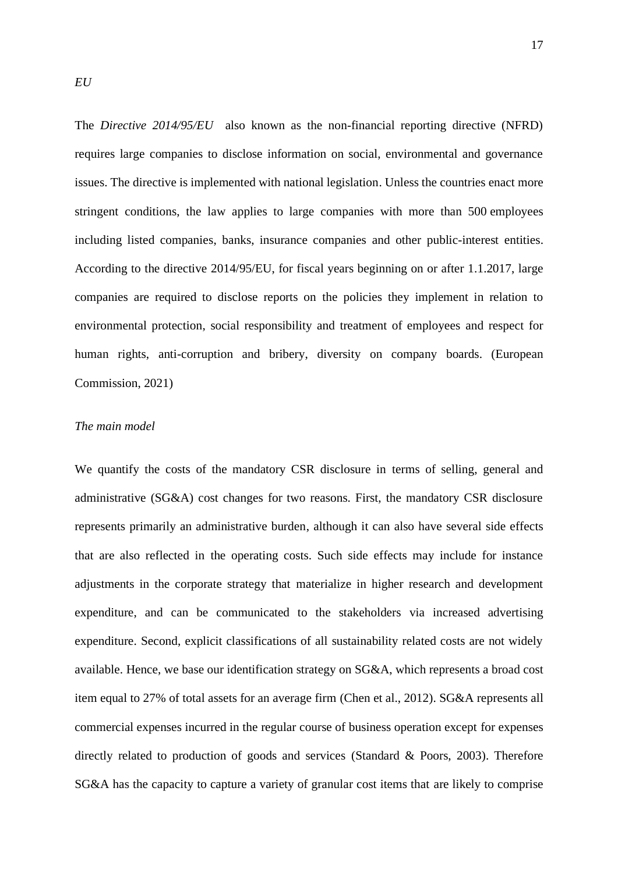The *Directive 2014/95/EU* also known as the non-financial reporting directive (NFRD) requires large companies to disclose information on social, environmental and governance issues. The directive is implemented with national legislation. Unless the countries enact more stringent conditions, the law applies to large companies with more than 500 employees including listed companies, banks, insurance companies and other public-interest entities. According to the directive 2014/95/EU, for fiscal years beginning on or after 1.1.2017, large companies are required to disclose reports on the policies they implement in relation to environmental protection, social responsibility and treatment of employees and respect for human rights, anti-corruption and bribery, diversity on company boards. (European Commission, 2021)

### *The main model*

We quantify the costs of the mandatory CSR disclosure in terms of selling, general and administrative (SG&A) cost changes for two reasons. First, the mandatory CSR disclosure represents primarily an administrative burden, although it can also have several side effects that are also reflected in the operating costs. Such side effects may include for instance adjustments in the corporate strategy that materialize in higher research and development expenditure, and can be communicated to the stakeholders via increased advertising expenditure. Second, explicit classifications of all sustainability related costs are not widely available. Hence, we base our identification strategy on SG&A, which represents a broad cost item equal to 27% of total assets for an average firm (Chen et al., 2012). SG&A represents all commercial expenses incurred in the regular course of business operation except for expenses directly related to production of goods and services (Standard & Poors, 2003). Therefore SG&A has the capacity to capture a variety of granular cost items that are likely to comprise

*EU*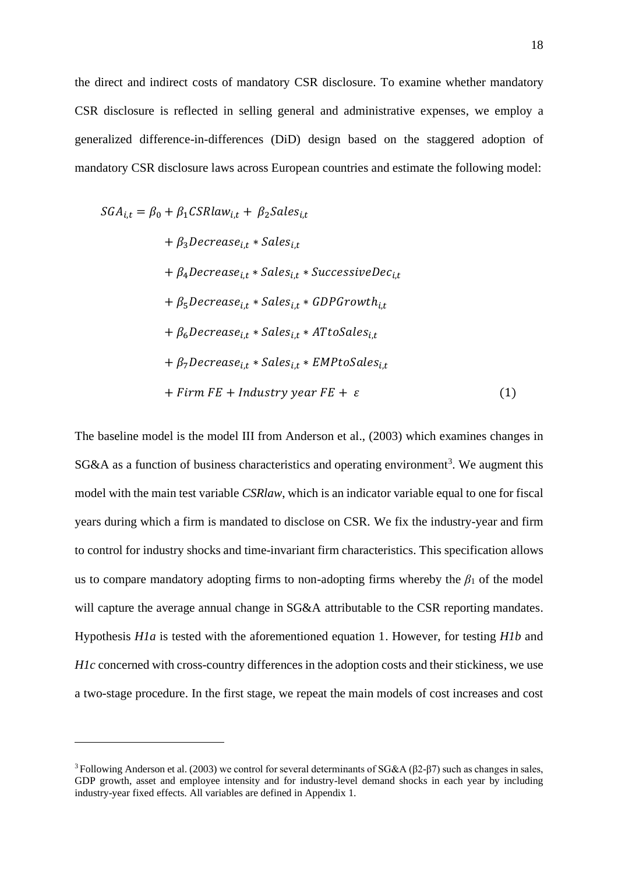the direct and indirect costs of mandatory CSR disclosure. To examine whether mandatory CSR disclosure is reflected in selling general and administrative expenses, we employ a generalized difference-in-differences (DiD) design based on the staggered adoption of mandatory CSR disclosure laws across European countries and estimate the following model:

$$
SGA_{i,t} = \beta_0 + \beta_1 CSRlaw_{i,t} + \beta_2 Sales_{i,t}
$$
  
+  $\beta_3 Decrease_{i,t} * Sales_{i,t}$   
+  $\beta_4 Decrease_{i,t} * Sales_{i,t} * SuccessiveDec_{i,t}$   
+  $\beta_5 Decrease_{i,t} * Sales_{i,t} * GDPGrowth_{i,t}$   
+  $\beta_6 Decrease_{i,t} * Sales_{i,t} * ATtoSales_{i,t}$   
+  $\beta_7 Decrease_{i,t} * Sales_{i,t} * EMPtoSales_{i,t}$   
+  $firm FE + Industry year FE + \varepsilon$  (1)

The baseline model is the model III from Anderson et al., (2003) which examines changes in  $SG&A$  as a function of business characteristics and operating environment<sup>3</sup>. We augment this model with the main test variable *CSRlaw*, which is an indicator variable equal to one for fiscal years during which a firm is mandated to disclose on CSR. We fix the industry-year and firm to control for industry shocks and time-invariant firm characteristics. This specification allows us to compare mandatory adopting firms to non-adopting firms whereby the  $\beta_1$  of the model will capture the average annual change in  $SG&A$  attributable to the CSR reporting mandates. Hypothesis *H1a* is tested with the aforementioned equation 1. However, for testing *H1b* and *H1c* concerned with cross-country differences in the adoption costs and their stickiness, we use a two-stage procedure. In the first stage, we repeat the main models of cost increases and cost

<sup>3</sup>Following Anderson et al. (2003) we control for several determinants of SG&A (β2-β7) such as changes in sales, GDP growth, asset and employee intensity and for industry-level demand shocks in each year by including industry-year fixed effects. All variables are defined in Appendix 1.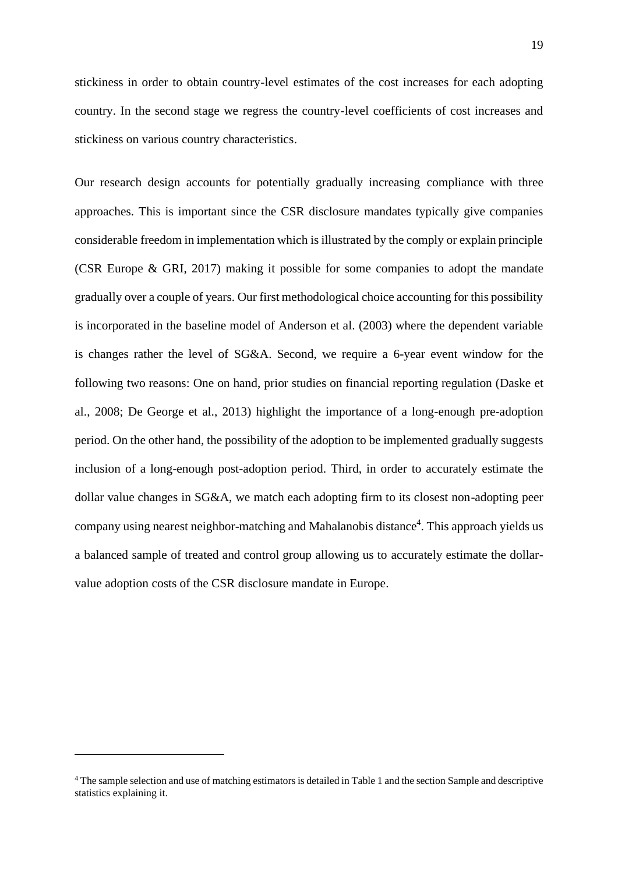stickiness in order to obtain country-level estimates of the cost increases for each adopting country. In the second stage we regress the country-level coefficients of cost increases and stickiness on various country characteristics.

Our research design accounts for potentially gradually increasing compliance with three approaches. This is important since the CSR disclosure mandates typically give companies considerable freedom in implementation which is illustrated by the comply or explain principle (CSR Europe & GRI, 2017) making it possible for some companies to adopt the mandate gradually over a couple of years. Our first methodological choice accounting for this possibility is incorporated in the baseline model of Anderson et al. (2003) where the dependent variable is changes rather the level of SG&A. Second, we require a 6-year event window for the following two reasons: One on hand, prior studies on financial reporting regulation (Daske et al., 2008; De George et al., 2013) highlight the importance of a long-enough pre-adoption period. On the other hand, the possibility of the adoption to be implemented gradually suggests inclusion of a long-enough post-adoption period. Third, in order to accurately estimate the dollar value changes in SG&A, we match each adopting firm to its closest non-adopting peer company using nearest neighbor-matching and Mahalanobis distance<sup>4</sup>. This approach yields us a balanced sample of treated and control group allowing us to accurately estimate the dollarvalue adoption costs of the CSR disclosure mandate in Europe.

<sup>4</sup> The sample selection and use of matching estimators is detailed in Table 1 and the section Sample and descriptive statistics explaining it.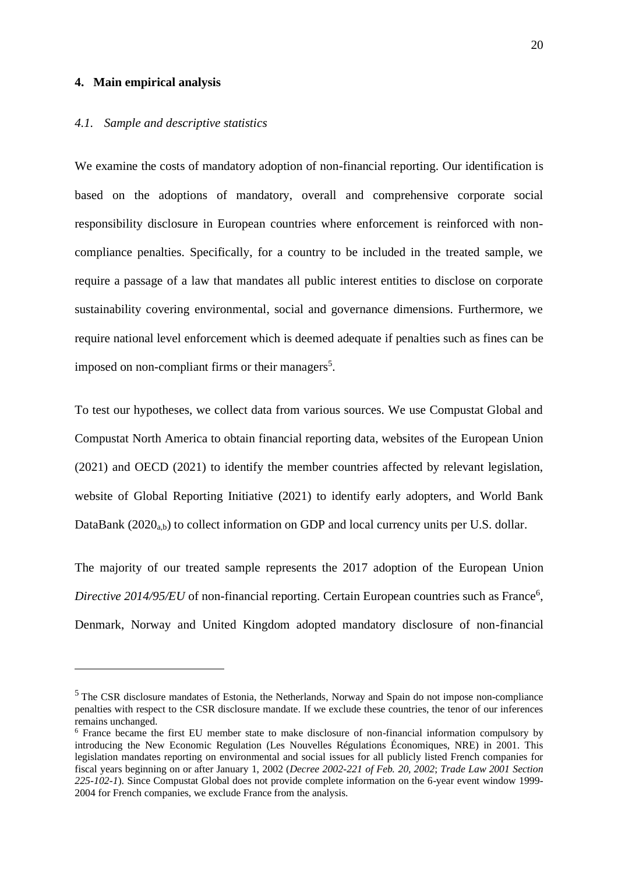#### **4. Main empirical analysis**

#### *4.1. Sample and descriptive statistics*

We examine the costs of mandatory adoption of non-financial reporting. Our identification is based on the adoptions of mandatory, overall and comprehensive corporate social responsibility disclosure in European countries where enforcement is reinforced with noncompliance penalties. Specifically, for a country to be included in the treated sample, we require a passage of a law that mandates all public interest entities to disclose on corporate sustainability covering environmental, social and governance dimensions. Furthermore, we require national level enforcement which is deemed adequate if penalties such as fines can be imposed on non-compliant firms or their managers<sup>5</sup>.

To test our hypotheses, we collect data from various sources. We use Compustat Global and Compustat North America to obtain financial reporting data, websites of the European Union (2021) and OECD (2021) to identify the member countries affected by relevant legislation, website of Global Reporting Initiative (2021) to identify early adopters, and World Bank DataBank  $(2020<sub>a,b</sub>)$  to collect information on GDP and local currency units per U.S. dollar.

The majority of our treated sample represents the 2017 adoption of the European Union Directive 2014/95/EU of non-financial reporting. Certain European countries such as France<sup>6</sup>, Denmark, Norway and United Kingdom adopted mandatory disclosure of non-financial

<sup>&</sup>lt;sup>5</sup> The CSR disclosure mandates of Estonia, the Netherlands, Norway and Spain do not impose non-compliance penalties with respect to the CSR disclosure mandate. If we exclude these countries, the tenor of our inferences remains unchanged.

<sup>6</sup> France became the first EU member state to make disclosure of non-financial information compulsory by introducing the New Economic Regulation (Les Nouvelles Régulations Économiques, NRE) in 2001. This legislation mandates reporting on environmental and social issues for all publicly listed French companies for fiscal years beginning on or after January 1, 2002 (*Decree 2002-221 of Feb. 20, 2002*; *Trade Law 2001 Section 225-102-1*). Since Compustat Global does not provide complete information on the 6-year event window 1999- 2004 for French companies, we exclude France from the analysis.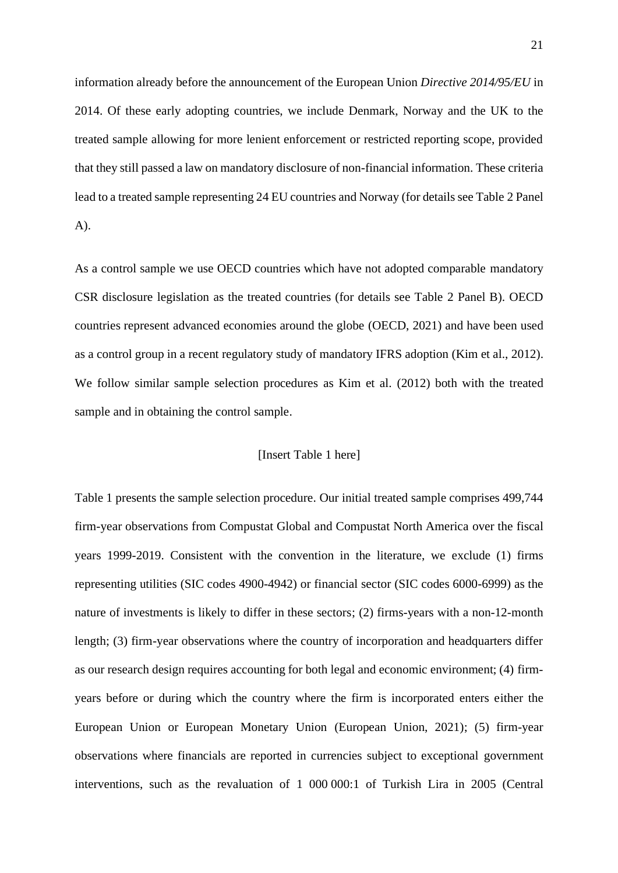information already before the announcement of the European Union *Directive 2014/95/EU* in 2014. Of these early adopting countries, we include Denmark, Norway and the UK to the treated sample allowing for more lenient enforcement or restricted reporting scope, provided that they still passed a law on mandatory disclosure of non-financial information. These criteria lead to a treated sample representing 24 EU countries and Norway (for details see Table 2 Panel A).

As a control sample we use OECD countries which have not adopted comparable mandatory CSR disclosure legislation as the treated countries (for details see Table 2 Panel B). OECD countries represent advanced economies around the globe (OECD, 2021) and have been used as a control group in a recent regulatory study of mandatory IFRS adoption (Kim et al., 2012). We follow similar sample selection procedures as Kim et al. (2012) both with the treated sample and in obtaining the control sample.

#### [Insert Table 1 here]

Table 1 presents the sample selection procedure. Our initial treated sample comprises 499,744 firm-year observations from Compustat Global and Compustat North America over the fiscal years 1999-2019. Consistent with the convention in the literature, we exclude (1) firms representing utilities (SIC codes 4900-4942) or financial sector (SIC codes 6000-6999) as the nature of investments is likely to differ in these sectors; (2) firms-years with a non-12-month length; (3) firm-year observations where the country of incorporation and headquarters differ as our research design requires accounting for both legal and economic environment; (4) firmyears before or during which the country where the firm is incorporated enters either the European Union or European Monetary Union (European Union, 2021); (5) firm-year observations where financials are reported in currencies subject to exceptional government interventions, such as the revaluation of 1 000 000:1 of Turkish Lira in 2005 (Central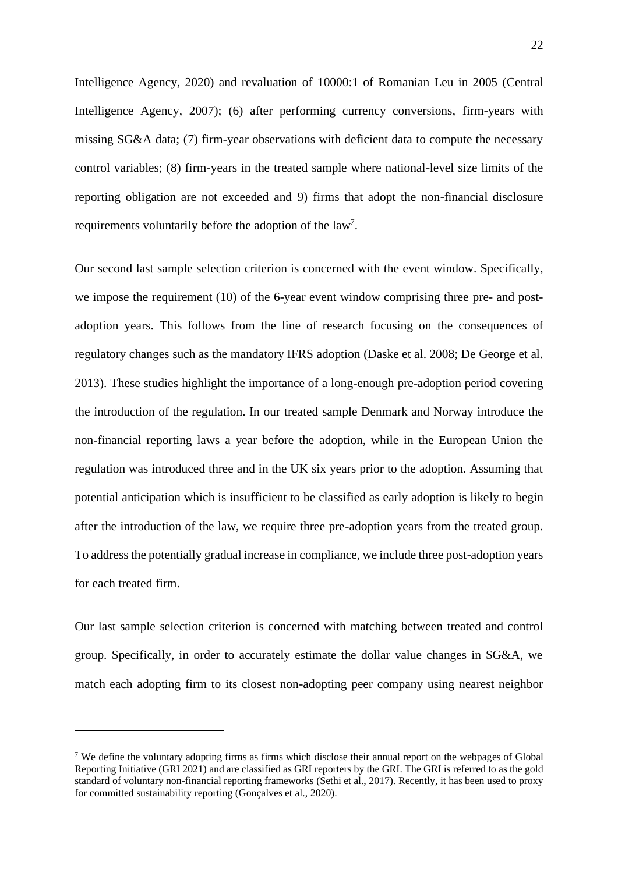Intelligence Agency, 2020) and revaluation of 10000:1 of Romanian Leu in 2005 (Central Intelligence Agency, 2007); (6) after performing currency conversions, firm-years with missing SG&A data; (7) firm-year observations with deficient data to compute the necessary control variables; (8) firm-years in the treated sample where national-level size limits of the reporting obligation are not exceeded and 9) firms that adopt the non-financial disclosure requirements voluntarily before the adoption of the  $law<sup>7</sup>$ .

Our second last sample selection criterion is concerned with the event window. Specifically, we impose the requirement (10) of the 6-year event window comprising three pre- and postadoption years. This follows from the line of research focusing on the consequences of regulatory changes such as the mandatory IFRS adoption (Daske et al. 2008; De George et al. 2013). These studies highlight the importance of a long-enough pre-adoption period covering the introduction of the regulation. In our treated sample Denmark and Norway introduce the non-financial reporting laws a year before the adoption, while in the European Union the regulation was introduced three and in the UK six years prior to the adoption. Assuming that potential anticipation which is insufficient to be classified as early adoption is likely to begin after the introduction of the law, we require three pre-adoption years from the treated group. To address the potentially gradual increase in compliance, we include three post-adoption years for each treated firm.

Our last sample selection criterion is concerned with matching between treated and control group. Specifically, in order to accurately estimate the dollar value changes in SG&A, we match each adopting firm to its closest non-adopting peer company using nearest neighbor

<sup>&</sup>lt;sup>7</sup> We define the voluntary adopting firms as firms which disclose their annual report on the webpages of Global Reporting Initiative (GRI 2021) and are classified as GRI reporters by the GRI. The GRI is referred to as the gold standard of voluntary non-financial reporting frameworks (Sethi et al., 2017). Recently, it has been used to proxy for committed sustainability reporting (Gonçalves et al., 2020).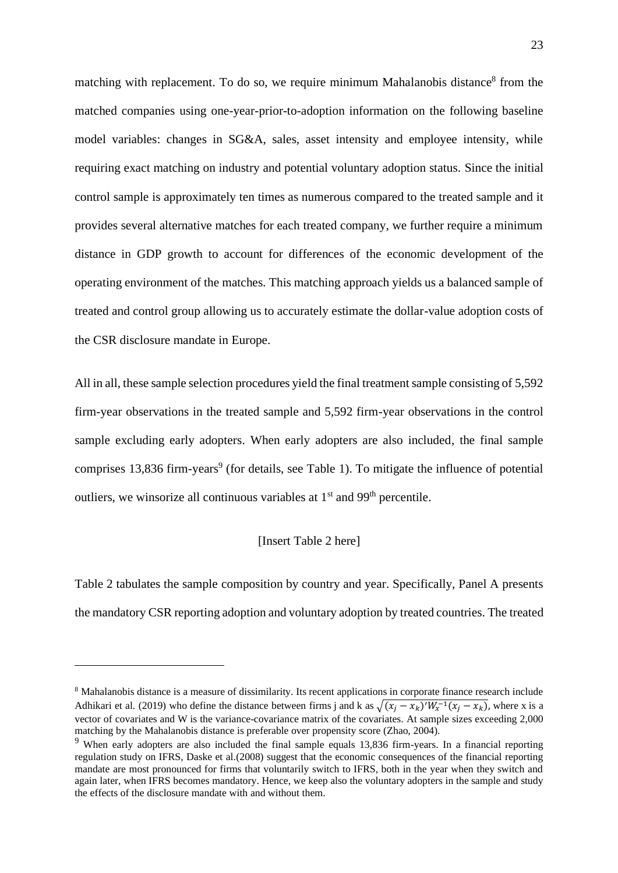matching with replacement. To do so, we require minimum Mahalanobis distance<sup>8</sup> from the matched companies using one-year-prior-to-adoption information on the following baseline model variables: changes in SG&A, sales, asset intensity and employee intensity, while requiring exact matching on industry and potential voluntary adoption status. Since the initial control sample is approximately ten times as numerous compared to the treated sample and it provides several alternative matches for each treated company, we further require a minimum distance in GDP growth to account for differences of the economic development of the operating environment of the matches. This matching approach yields us a balanced sample of treated and control group allowing us to accurately estimate the dollar-value adoption costs of the CSR disclosure mandate in Europe.

All in all, these sample selection procedures yield the final treatment sample consisting of 5,592 firm-year observations in the treated sample and 5,592 firm-year observations in the control sample excluding early adopters. When early adopters are also included, the final sample comprises 13,836 firm-years<sup>9</sup> (for details, see Table 1). To mitigate the influence of potential outliers, we winsorize all continuous variables at  $1<sup>st</sup>$  and 99<sup>th</sup> percentile.

### [Insert Table 2 here]

Table 2 tabulates the sample composition by country and year. Specifically, Panel A presents the mandatory CSR reporting adoption and voluntary adoption by treated countries. The treated

<sup>8</sup> Mahalanobis distance is a measure of dissimilarity. Its recent applications in corporate finance research include Adhikari et al. (2019) who define the distance between firms j and k as  $\sqrt{(x_j - x_k)'W_x^{-1}(x_j - x_k)}$ , where x is a vector of covariates and W is the variance-covariance matrix of the covariates. At sample sizes exceeding 2,000 matching by the Mahalanobis distance is preferable over propensity score (Zhao, 2004).

<sup>&</sup>lt;sup>9</sup> When early adopters are also included the final sample equals 13,836 firm-years. In a financial reporting regulation study on IFRS, Daske et al.(2008) suggest that the economic consequences of the financial reporting mandate are most pronounced for firms that voluntarily switch to IFRS, both in the year when they switch and again later, when IFRS becomes mandatory. Hence, we keep also the voluntary adopters in the sample and study the effects of the disclosure mandate with and without them.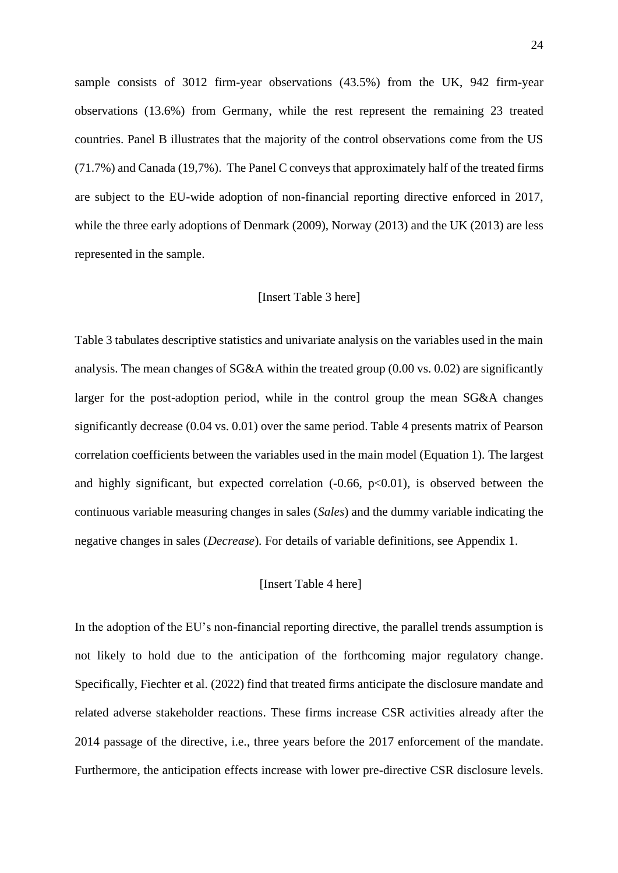sample consists of 3012 firm-year observations (43.5%) from the UK, 942 firm-year observations (13.6%) from Germany, while the rest represent the remaining 23 treated countries. Panel B illustrates that the majority of the control observations come from the US (71.7%) and Canada (19,7%). The Panel C conveys that approximately half of the treated firms are subject to the EU-wide adoption of non-financial reporting directive enforced in 2017, while the three early adoptions of Denmark (2009), Norway (2013) and the UK (2013) are less represented in the sample.

#### [Insert Table 3 here]

Table 3 tabulates descriptive statistics and univariate analysis on the variables used in the main analysis. The mean changes of SG&A within the treated group (0.00 vs. 0.02) are significantly larger for the post-adoption period, while in the control group the mean SG&A changes significantly decrease (0.04 vs. 0.01) over the same period. Table 4 presents matrix of Pearson correlation coefficients between the variables used in the main model (Equation 1). The largest and highly significant, but expected correlation  $(-0.66, p<0.01)$ , is observed between the continuous variable measuring changes in sales (*Sales*) and the dummy variable indicating the negative changes in sales (*Decrease*)*.* For details of variable definitions, see Appendix 1.

### [Insert Table 4 here]

In the adoption of the EU's non-financial reporting directive, the parallel trends assumption is not likely to hold due to the anticipation of the forthcoming major regulatory change. Specifically, Fiechter et al. (2022) find that treated firms anticipate the disclosure mandate and related adverse stakeholder reactions. These firms increase CSR activities already after the 2014 passage of the directive, i.e., three years before the 2017 enforcement of the mandate. Furthermore, the anticipation effects increase with lower pre-directive CSR disclosure levels.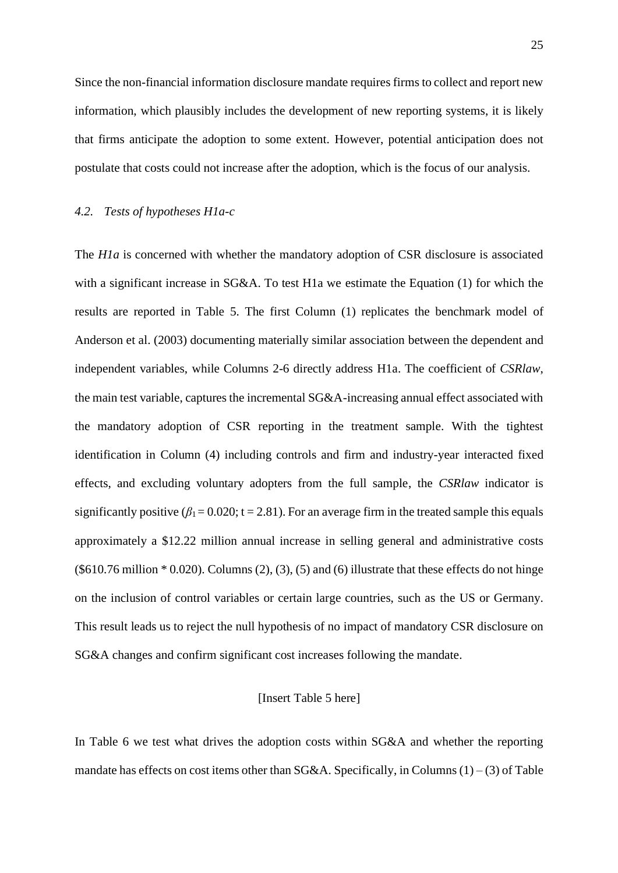Since the non-financial information disclosure mandate requires firms to collect and report new information, which plausibly includes the development of new reporting systems, it is likely that firms anticipate the adoption to some extent. However, potential anticipation does not postulate that costs could not increase after the adoption, which is the focus of our analysis.

#### *4.2. Tests of hypotheses H1a-c*

The *H1a* is concerned with whether the mandatory adoption of CSR disclosure is associated with a significant increase in SG&A. To test H1a we estimate the Equation (1) for which the results are reported in Table 5. The first Column (1) replicates the benchmark model of Anderson et al. (2003) documenting materially similar association between the dependent and independent variables, while Columns 2-6 directly address H1a. The coefficient of *CSRlaw*, the main test variable, captures the incremental SG&A-increasing annual effect associated with the mandatory adoption of CSR reporting in the treatment sample. With the tightest identification in Column (4) including controls and firm and industry-year interacted fixed effects, and excluding voluntary adopters from the full sample, the *CSRlaw* indicator is significantly positive  $(\beta_1 = 0.020; t = 2.81)$ . For an average firm in the treated sample this equals approximately a \$12.22 million annual increase in selling general and administrative costs  $(\$610.76 \text{ million} * 0.020)$ . Columns  $(2)$ ,  $(3)$ ,  $(5)$  and  $(6)$  illustrate that these effects do not hinge on the inclusion of control variables or certain large countries, such as the US or Germany. This result leads us to reject the null hypothesis of no impact of mandatory CSR disclosure on SG&A changes and confirm significant cost increases following the mandate.

### [Insert Table 5 here]

In Table 6 we test what drives the adoption costs within SG&A and whether the reporting mandate has effects on cost items other than  $SG&A$ . Specifically, in Columns (1) – (3) of Table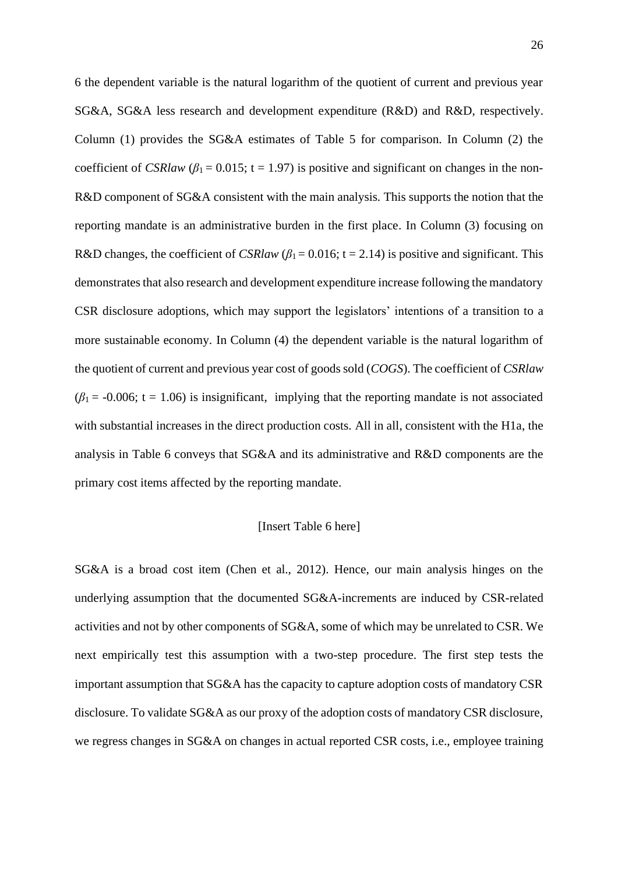6 the dependent variable is the natural logarithm of the quotient of current and previous year SG&A, SG&A less research and development expenditure (R&D) and R&D, respectively. Column (1) provides the SG&A estimates of Table 5 for comparison. In Column (2) the coefficient of *CSRlaw* ( $\beta_1$  = 0.015; t = 1.97) is positive and significant on changes in the non-R&D component of SG&A consistent with the main analysis. This supports the notion that the reporting mandate is an administrative burden in the first place. In Column (3) focusing on R&D changes, the coefficient of *CSRlaw* ( $\beta_1$  = 0.016; t = 2.14) is positive and significant. This demonstrates that also research and development expenditure increase following the mandatory CSR disclosure adoptions, which may support the legislators' intentions of a transition to a more sustainable economy. In Column (4) the dependent variable is the natural logarithm of the quotient of current and previous year cost of goods sold (*COGS*). The coefficient of *CSRlaw*  $(\beta_1 = -0.006; t = 1.06)$  is insignificant, implying that the reporting mandate is not associated with substantial increases in the direct production costs. All in all, consistent with the H1a, the analysis in Table 6 conveys that SG&A and its administrative and R&D components are the primary cost items affected by the reporting mandate.

### [Insert Table 6 here]

SG&A is a broad cost item (Chen et al., 2012). Hence, our main analysis hinges on the underlying assumption that the documented SG&A-increments are induced by CSR-related activities and not by other components of SG&A, some of which may be unrelated to CSR. We next empirically test this assumption with a two-step procedure. The first step tests the important assumption that SG&A has the capacity to capture adoption costs of mandatory CSR disclosure. To validate SG&A as our proxy of the adoption costs of mandatory CSR disclosure, we regress changes in SG&A on changes in actual reported CSR costs, i.e., employee training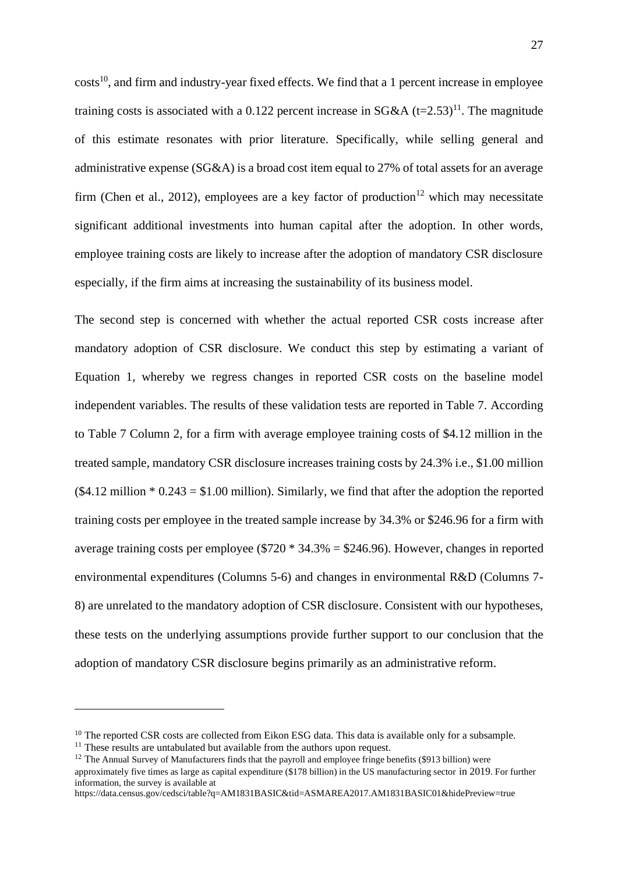costs<sup>10</sup>, and firm and industry-year fixed effects. We find that a 1 percent increase in employee training costs is associated with a 0.122 percent increase in SG&A  $(t=2.53)^{11}$ . The magnitude of this estimate resonates with prior literature. Specifically, while selling general and administrative expense (SG&A) is a broad cost item equal to 27% of total assets for an average firm (Chen et al., 2012), employees are a key factor of production<sup>12</sup> which may necessitate significant additional investments into human capital after the adoption. In other words, employee training costs are likely to increase after the adoption of mandatory CSR disclosure especially, if the firm aims at increasing the sustainability of its business model.

The second step is concerned with whether the actual reported CSR costs increase after mandatory adoption of CSR disclosure. We conduct this step by estimating a variant of Equation 1, whereby we regress changes in reported CSR costs on the baseline model independent variables. The results of these validation tests are reported in Table 7. According to Table 7 Column 2, for a firm with average employee training costs of \$4.12 million in the treated sample, mandatory CSR disclosure increases training costs by 24.3% i.e., \$1.00 million  $($4.12$$  million  $*$  0.243 = \$1.00 million). Similarly, we find that after the adoption the reported training costs per employee in the treated sample increase by 34.3% or \$246.96 for a firm with average training costs per employee ( $$720 * 34.3% = $246.96$ ). However, changes in reported environmental expenditures (Columns 5-6) and changes in environmental R&D (Columns 7- 8) are unrelated to the mandatory adoption of CSR disclosure. Consistent with our hypotheses, these tests on the underlying assumptions provide further support to our conclusion that the adoption of mandatory CSR disclosure begins primarily as an administrative reform.

<sup>&</sup>lt;sup>10</sup> The reported CSR costs are collected from Eikon ESG data. This data is available only for a subsample.

<sup>&</sup>lt;sup>11</sup> These results are untabulated but available from the authors upon request.

<sup>&</sup>lt;sup>12</sup> The Annual Survey of Manufacturers finds that the payroll and employee fringe benefits (\$913 billion) were approximately five times as large as capital expenditure (\$178 billion) in the US manufacturing sector in 2019. For further information, the survey is available at

https://data.census.gov/cedsci/table?q=AM1831BASIC&tid=ASMAREA2017.AM1831BASIC01&hidePreview=true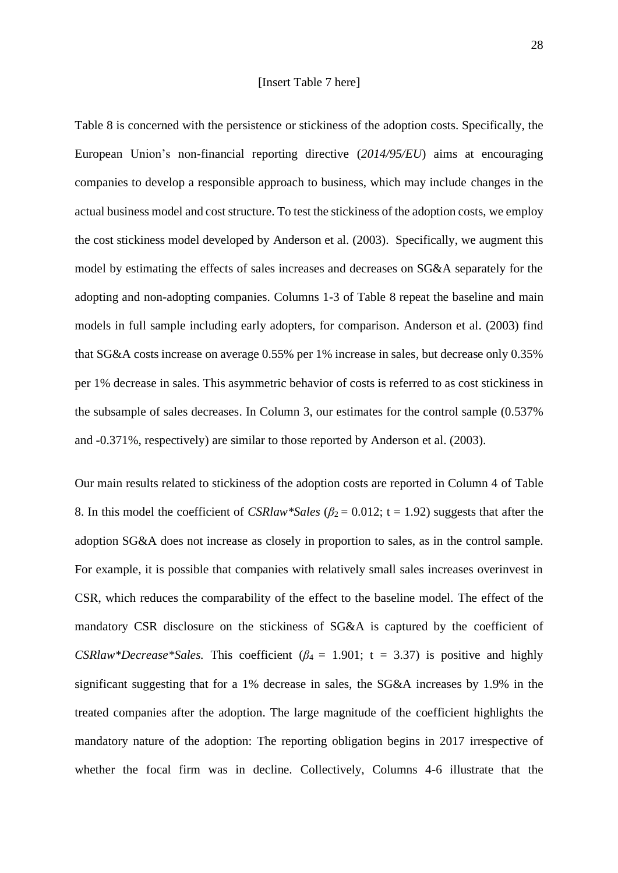Table 8 is concerned with the persistence or stickiness of the adoption costs. Specifically, the European Union's non-financial reporting directive (*2014/95/EU*) aims at encouraging companies to develop a responsible approach to business, which may include changes in the actual business model and cost structure. To test the stickiness of the adoption costs, we employ the cost stickiness model developed by Anderson et al. (2003). Specifically, we augment this model by estimating the effects of sales increases and decreases on SG&A separately for the adopting and non-adopting companies. Columns 1-3 of Table 8 repeat the baseline and main models in full sample including early adopters, for comparison. Anderson et al. (2003) find that SG&A costs increase on average 0.55% per 1% increase in sales, but decrease only 0.35% per 1% decrease in sales. This asymmetric behavior of costs is referred to as cost stickiness in the subsample of sales decreases. In Column 3, our estimates for the control sample (0.537% and -0.371%, respectively) are similar to those reported by Anderson et al. (2003).

Our main results related to stickiness of the adoption costs are reported in Column 4 of Table 8. In this model the coefficient of *CSRlaw\*Sales* (*β*<sup>2</sup> = 0.012; t = 1.92) suggests that after the adoption SG&A does not increase as closely in proportion to sales, as in the control sample. For example, it is possible that companies with relatively small sales increases overinvest in CSR, which reduces the comparability of the effect to the baseline model. The effect of the mandatory CSR disclosure on the stickiness of SG&A is captured by the coefficient of *CSRlaw\*Decrease\*Sales.* This coefficient ( $\beta_4 = 1.901$ ; t = 3.37) is positive and highly significant suggesting that for a 1% decrease in sales, the SG&A increases by 1.9% in the treated companies after the adoption. The large magnitude of the coefficient highlights the mandatory nature of the adoption: The reporting obligation begins in 2017 irrespective of whether the focal firm was in decline. Collectively, Columns 4-6 illustrate that the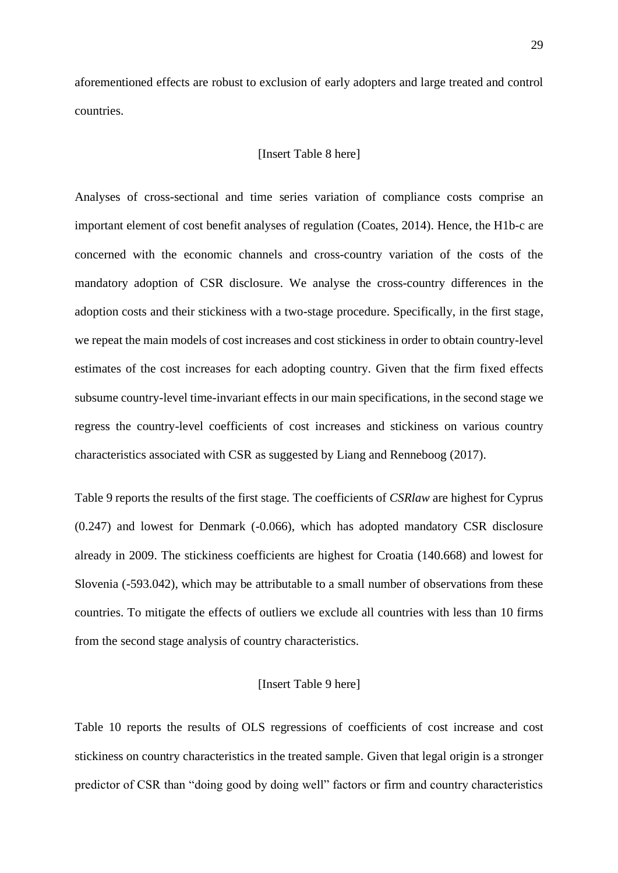aforementioned effects are robust to exclusion of early adopters and large treated and control countries.

### [Insert Table 8 here]

Analyses of cross-sectional and time series variation of compliance costs comprise an important element of cost benefit analyses of regulation (Coates, 2014). Hence, the H1b-c are concerned with the economic channels and cross-country variation of the costs of the mandatory adoption of CSR disclosure. We analyse the cross-country differences in the adoption costs and their stickiness with a two-stage procedure. Specifically, in the first stage, we repeat the main models of cost increases and cost stickiness in order to obtain country-level estimates of the cost increases for each adopting country. Given that the firm fixed effects subsume country-level time-invariant effects in our main specifications, in the second stage we regress the country-level coefficients of cost increases and stickiness on various country characteristics associated with CSR as suggested by Liang and Renneboog (2017).

Table 9 reports the results of the first stage. The coefficients of *CSRlaw* are highest for Cyprus (0.247) and lowest for Denmark (-0.066), which has adopted mandatory CSR disclosure already in 2009. The stickiness coefficients are highest for Croatia (140.668) and lowest for Slovenia (-593.042), which may be attributable to a small number of observations from these countries. To mitigate the effects of outliers we exclude all countries with less than 10 firms from the second stage analysis of country characteristics.

#### [Insert Table 9 here]

Table 10 reports the results of OLS regressions of coefficients of cost increase and cost stickiness on country characteristics in the treated sample. Given that legal origin is a stronger predictor of CSR than "doing good by doing well" factors or firm and country characteristics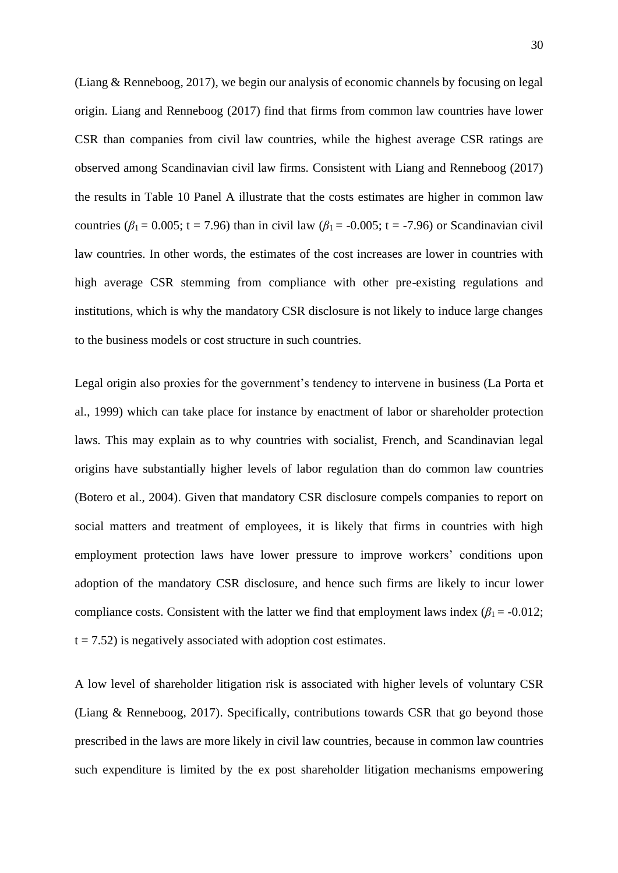(Liang & Renneboog, 2017), we begin our analysis of economic channels by focusing on legal origin. Liang and Renneboog (2017) find that firms from common law countries have lower CSR than companies from civil law countries, while the highest average CSR ratings are observed among Scandinavian civil law firms. Consistent with Liang and Renneboog (2017) the results in Table 10 Panel A illustrate that the costs estimates are higher in common law countries ( $\beta_1$  = 0.005; t = 7.96) than in civil law ( $\beta_1$  = -0.005; t = -7.96) or Scandinavian civil law countries. In other words, the estimates of the cost increases are lower in countries with high average CSR stemming from compliance with other pre-existing regulations and institutions, which is why the mandatory CSR disclosure is not likely to induce large changes to the business models or cost structure in such countries.

Legal origin also proxies for the government's tendency to intervene in business (La Porta et al., 1999) which can take place for instance by enactment of labor or shareholder protection laws. This may explain as to why countries with socialist, French, and Scandinavian legal origins have substantially higher levels of labor regulation than do common law countries (Botero et al., 2004). Given that mandatory CSR disclosure compels companies to report on social matters and treatment of employees, it is likely that firms in countries with high employment protection laws have lower pressure to improve workers' conditions upon adoption of the mandatory CSR disclosure, and hence such firms are likely to incur lower compliance costs. Consistent with the latter we find that employment laws index  $(\beta_1 = -0.012)$ ;  $t = 7.52$ ) is negatively associated with adoption cost estimates.

A low level of shareholder litigation risk is associated with higher levels of voluntary CSR (Liang & Renneboog, 2017). Specifically, contributions towards CSR that go beyond those prescribed in the laws are more likely in civil law countries, because in common law countries such expenditure is limited by the ex post shareholder litigation mechanisms empowering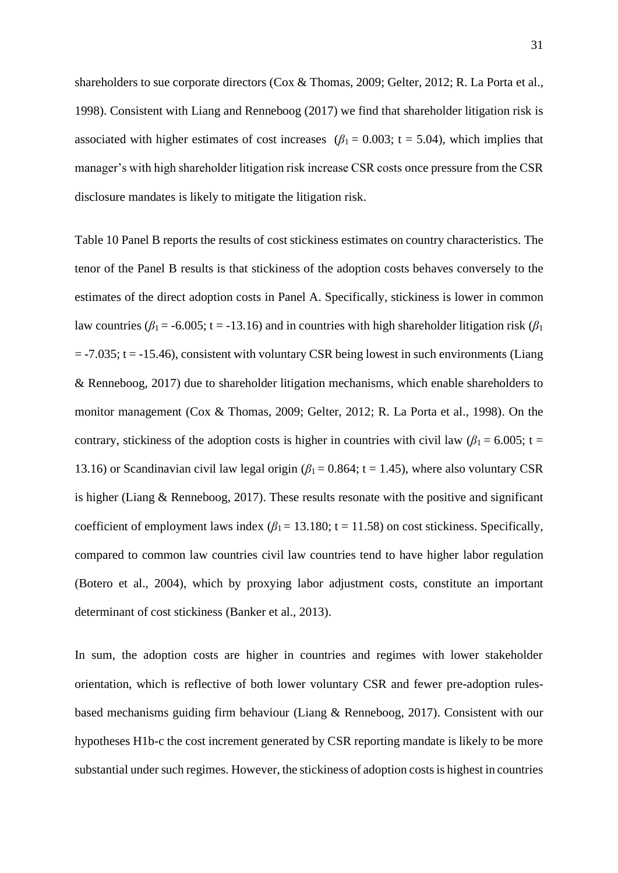shareholders to sue corporate directors (Cox & Thomas, 2009; Gelter, 2012; R. La Porta et al., 1998). Consistent with Liang and Renneboog (2017) we find that shareholder litigation risk is associated with higher estimates of cost increases ( $\beta_1 = 0.003$ ; t = 5.04), which implies that manager's with high shareholder litigation risk increase CSR costs once pressure from the CSR disclosure mandates is likely to mitigate the litigation risk.

Table 10 Panel B reports the results of cost stickiness estimates on country characteristics. The tenor of the Panel B results is that stickiness of the adoption costs behaves conversely to the estimates of the direct adoption costs in Panel A. Specifically, stickiness is lower in common law countries ( $\beta_1$  = -6.005; t = -13.16) and in countries with high shareholder litigation risk ( $\beta_1$ )  $=$  -7.035; t = -15.46), consistent with voluntary CSR being lowest in such environments (Liang & Renneboog, 2017) due to shareholder litigation mechanisms, which enable shareholders to monitor management (Cox & Thomas, 2009; Gelter, 2012; R. La Porta et al., 1998). On the contrary, stickiness of the adoption costs is higher in countries with civil law ( $\beta_1$  = 6.005; t = 13.16) or Scandinavian civil law legal origin ( $\beta_1$  = 0.864; t = 1.45), where also voluntary CSR is higher (Liang & Renneboog, 2017). These results resonate with the positive and significant coefficient of employment laws index  $(\beta_1 = 13.180; t = 11.58)$  on cost stickiness. Specifically, compared to common law countries civil law countries tend to have higher labor regulation (Botero et al., 2004), which by proxying labor adjustment costs, constitute an important determinant of cost stickiness (Banker et al., 2013).

In sum, the adoption costs are higher in countries and regimes with lower stakeholder orientation, which is reflective of both lower voluntary CSR and fewer pre-adoption rulesbased mechanisms guiding firm behaviour (Liang & Renneboog, 2017). Consistent with our hypotheses H1b-c the cost increment generated by CSR reporting mandate is likely to be more substantial under such regimes. However, the stickiness of adoption costs is highest in countries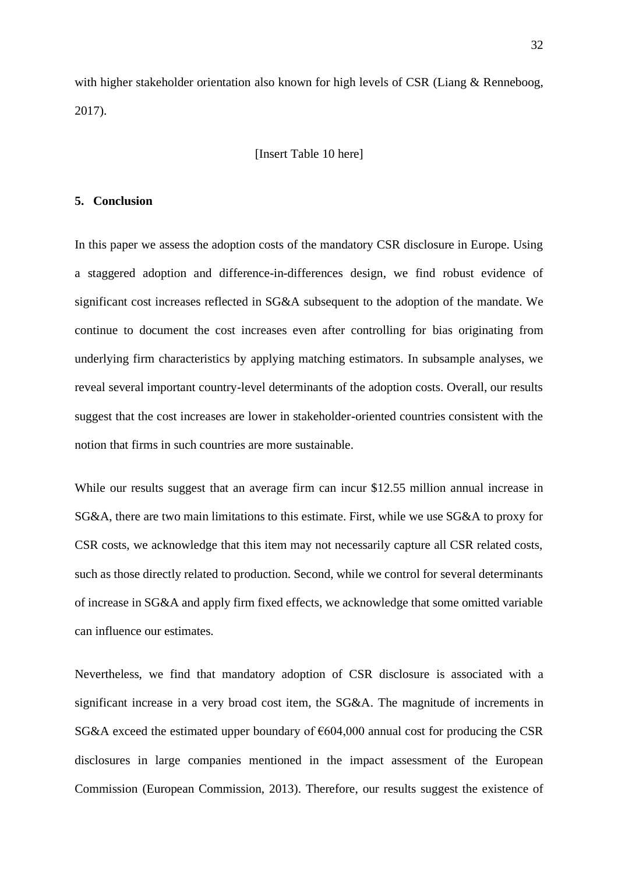with higher stakeholder orientation also known for high levels of CSR (Liang & Renneboog, 2017).

### [Insert Table 10 here]

### **5. Conclusion**

In this paper we assess the adoption costs of the mandatory CSR disclosure in Europe. Using a staggered adoption and difference-in-differences design, we find robust evidence of significant cost increases reflected in SG&A subsequent to the adoption of the mandate. We continue to document the cost increases even after controlling for bias originating from underlying firm characteristics by applying matching estimators. In subsample analyses, we reveal several important country-level determinants of the adoption costs. Overall, our results suggest that the cost increases are lower in stakeholder-oriented countries consistent with the notion that firms in such countries are more sustainable.

While our results suggest that an average firm can incur \$12.55 million annual increase in SG&A, there are two main limitations to this estimate. First, while we use SG&A to proxy for CSR costs, we acknowledge that this item may not necessarily capture all CSR related costs, such as those directly related to production. Second, while we control for several determinants of increase in SG&A and apply firm fixed effects, we acknowledge that some omitted variable can influence our estimates.

Nevertheless, we find that mandatory adoption of CSR disclosure is associated with a significant increase in a very broad cost item, the SG&A. The magnitude of increments in SG&A exceed the estimated upper boundary of  $\epsilon$ 604,000 annual cost for producing the CSR disclosures in large companies mentioned in the impact assessment of the European Commission (European Commission, 2013). Therefore, our results suggest the existence of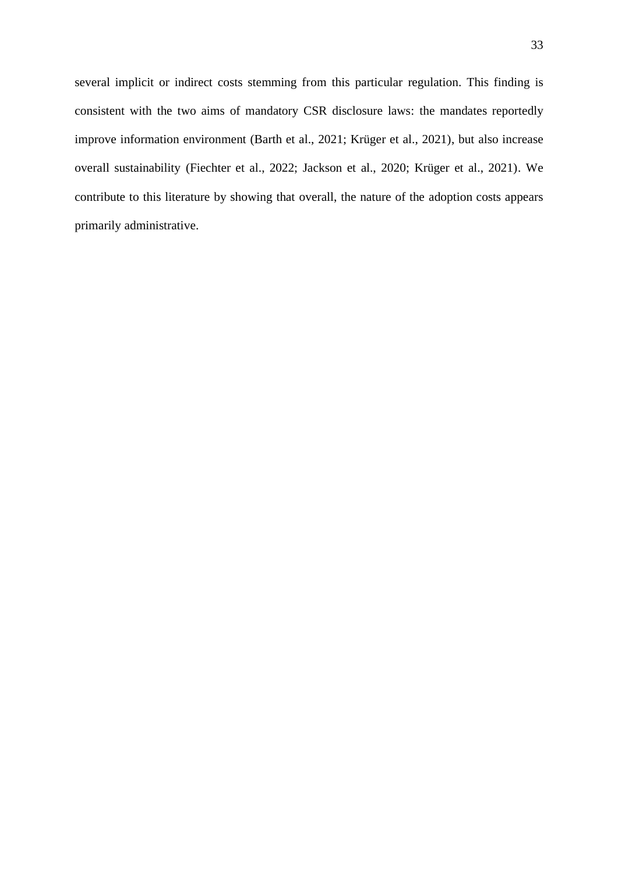several implicit or indirect costs stemming from this particular regulation. This finding is consistent with the two aims of mandatory CSR disclosure laws: the mandates reportedly improve information environment (Barth et al., 2021; Krüger et al., 2021), but also increase overall sustainability (Fiechter et al., 2022; Jackson et al., 2020; Krüger et al., 2021). We contribute to this literature by showing that overall, the nature of the adoption costs appears primarily administrative.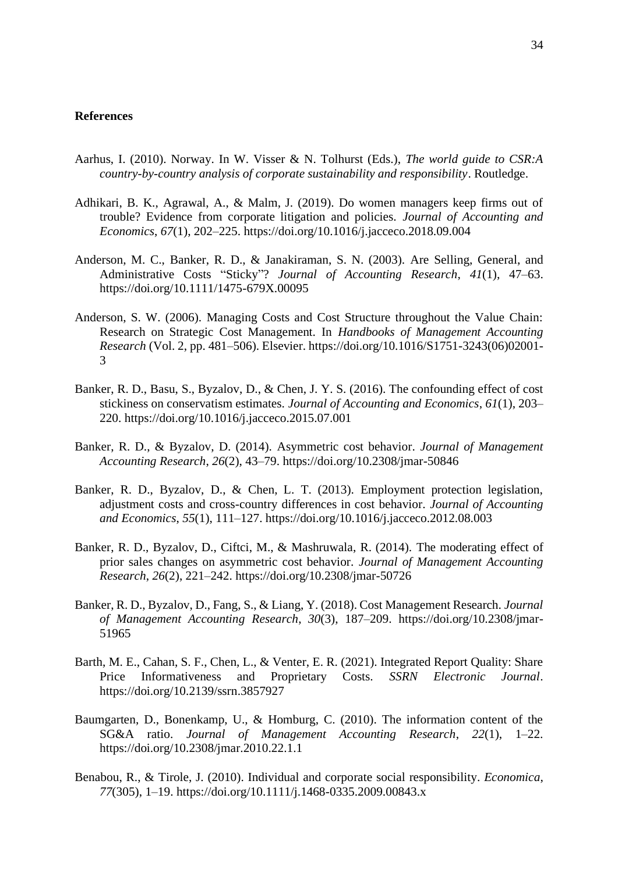#### **References**

- Aarhus, I. (2010). Norway. In W. Visser & N. Tolhurst (Eds.), *The world guide to CSR:A country-by-country analysis of corporate sustainability and responsibility*. Routledge.
- Adhikari, B. K., Agrawal, A., & Malm, J. (2019). Do women managers keep firms out of trouble? Evidence from corporate litigation and policies. *Journal of Accounting and Economics*, *67*(1), 202–225. https://doi.org/10.1016/j.jacceco.2018.09.004
- Anderson, M. C., Banker, R. D., & Janakiraman, S. N. (2003). Are Selling, General, and Administrative Costs "Sticky"? *Journal of Accounting Research*, *41*(1), 47–63. https://doi.org/10.1111/1475-679X.00095
- Anderson, S. W. (2006). Managing Costs and Cost Structure throughout the Value Chain: Research on Strategic Cost Management. In *Handbooks of Management Accounting Research* (Vol. 2, pp. 481–506). Elsevier. https://doi.org/10.1016/S1751-3243(06)02001- 3
- Banker, R. D., Basu, S., Byzalov, D., & Chen, J. Y. S. (2016). The confounding effect of cost stickiness on conservatism estimates. *Journal of Accounting and Economics*, *61*(1), 203– 220. https://doi.org/10.1016/j.jacceco.2015.07.001
- Banker, R. D., & Byzalov, D. (2014). Asymmetric cost behavior. *Journal of Management Accounting Research*, *26*(2), 43–79. https://doi.org/10.2308/jmar-50846
- Banker, R. D., Byzalov, D., & Chen, L. T. (2013). Employment protection legislation, adjustment costs and cross-country differences in cost behavior. *Journal of Accounting and Economics*, *55*(1), 111–127. https://doi.org/10.1016/j.jacceco.2012.08.003
- Banker, R. D., Byzalov, D., Ciftci, M., & Mashruwala, R. (2014). The moderating effect of prior sales changes on asymmetric cost behavior. *Journal of Management Accounting Research*, *26*(2), 221–242. https://doi.org/10.2308/jmar-50726
- Banker, R. D., Byzalov, D., Fang, S., & Liang, Y. (2018). Cost Management Research. *Journal of Management Accounting Research*, *30*(3), 187–209. https://doi.org/10.2308/jmar-51965
- Barth, M. E., Cahan, S. F., Chen, L., & Venter, E. R. (2021). Integrated Report Quality: Share Price Informativeness and Proprietary Costs. *SSRN Electronic Journal*. https://doi.org/10.2139/ssrn.3857927
- Baumgarten, D., Bonenkamp, U., & Homburg, C. (2010). The information content of the SG&A ratio. *Journal of Management Accounting Research*, *22*(1), 1–22. https://doi.org/10.2308/jmar.2010.22.1.1
- Benabou, R., & Tirole, J. (2010). Individual and corporate social responsibility. *Economica*, *77*(305), 1–19. https://doi.org/10.1111/j.1468-0335.2009.00843.x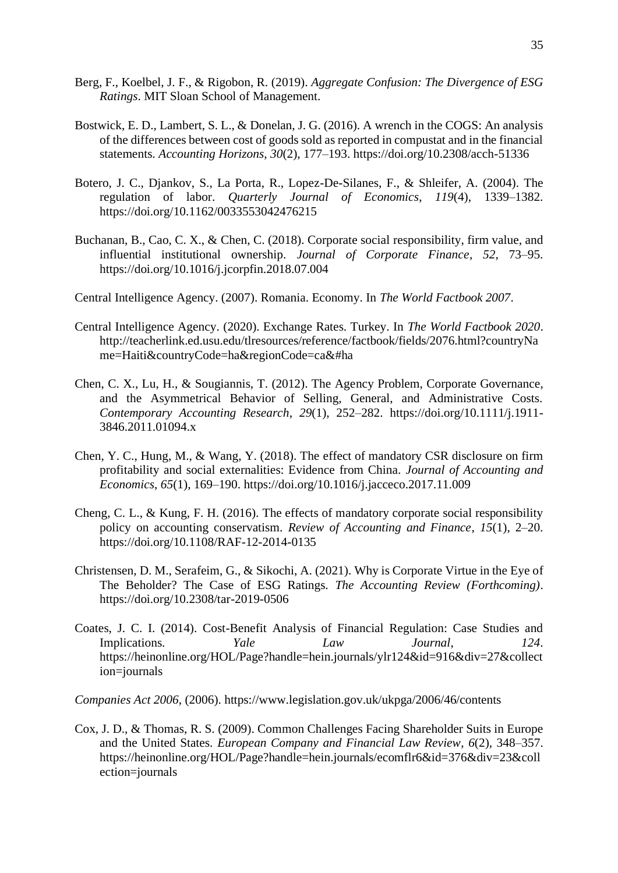- Berg, F., Koelbel, J. F., & Rigobon, R. (2019). *Aggregate Confusion: The Divergence of ESG Ratings*. MIT Sloan School of Management.
- Bostwick, E. D., Lambert, S. L., & Donelan, J. G. (2016). A wrench in the COGS: An analysis of the differences between cost of goods sold as reported in compustat and in the financial statements. *Accounting Horizons*, *30*(2), 177–193. https://doi.org/10.2308/acch-51336
- Botero, J. C., Djankov, S., La Porta, R., Lopez-De-Silanes, F., & Shleifer, A. (2004). The regulation of labor. *Quarterly Journal of Economics*, *119*(4), 1339–1382. https://doi.org/10.1162/0033553042476215
- Buchanan, B., Cao, C. X., & Chen, C. (2018). Corporate social responsibility, firm value, and influential institutional ownership. *Journal of Corporate Finance*, *52*, 73–95. https://doi.org/10.1016/j.jcorpfin.2018.07.004
- Central Intelligence Agency. (2007). Romania. Economy. In *The World Factbook 2007*.
- Central Intelligence Agency. (2020). Exchange Rates. Turkey. In *The World Factbook 2020*. http://teacherlink.ed.usu.edu/tlresources/reference/factbook/fields/2076.html?countryNa me=Haiti&countryCode=ha&regionCode=ca&#ha
- Chen, C. X., Lu, H., & Sougiannis, T. (2012). The Agency Problem, Corporate Governance, and the Asymmetrical Behavior of Selling, General, and Administrative Costs. *Contemporary Accounting Research*, *29*(1), 252–282. https://doi.org/10.1111/j.1911- 3846.2011.01094.x
- Chen, Y. C., Hung, M., & Wang, Y. (2018). The effect of mandatory CSR disclosure on firm profitability and social externalities: Evidence from China. *Journal of Accounting and Economics*, *65*(1), 169–190. https://doi.org/10.1016/j.jacceco.2017.11.009
- Cheng, C. L., & Kung, F. H. (2016). The effects of mandatory corporate social responsibility policy on accounting conservatism. *Review of Accounting and Finance*, *15*(1), 2–20. https://doi.org/10.1108/RAF-12-2014-0135
- Christensen, D. M., Serafeim, G., & Sikochi, A. (2021). Why is Corporate Virtue in the Eye of The Beholder? The Case of ESG Ratings. *The Accounting Review (Forthcoming)*. https://doi.org/10.2308/tar-2019-0506
- Coates, J. C. I. (2014). Cost-Benefit Analysis of Financial Regulation: Case Studies and Implications. *Yale Law Journal*, *124*. https://heinonline.org/HOL/Page?handle=hein.journals/ylr124&id=916&div=27&collect ion=journals

*Companies Act 2006*, (2006). https://www.legislation.gov.uk/ukpga/2006/46/contents

Cox, J. D., & Thomas, R. S. (2009). Common Challenges Facing Shareholder Suits in Europe and the United States. *European Company and Financial Law Review*, *6*(2), 348–357. https://heinonline.org/HOL/Page?handle=hein.journals/ecomflr6&id=376&div=23&coll ection=journals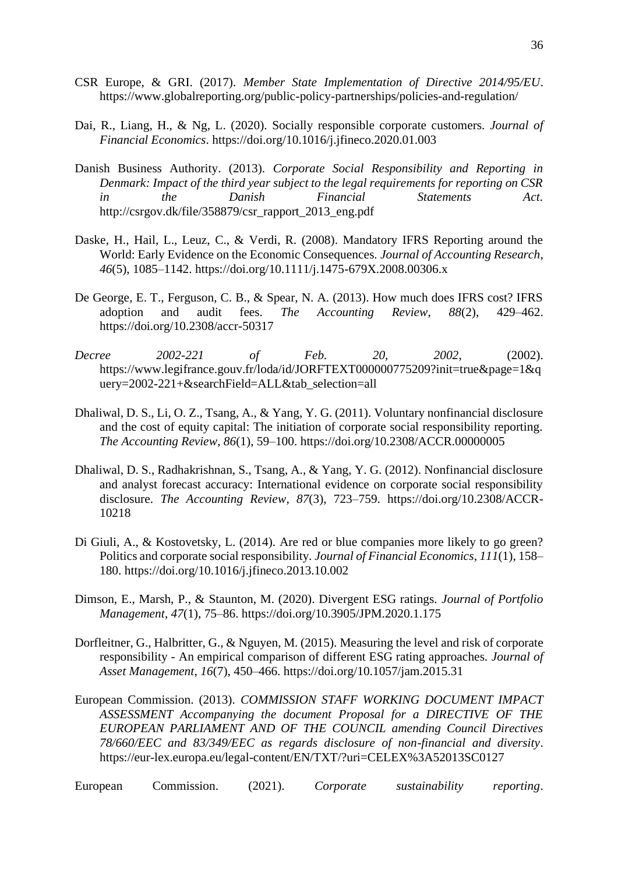- CSR Europe, & GRI. (2017). *Member State Implementation of Directive 2014/95/EU*. https://www.globalreporting.org/public-policy-partnerships/policies-and-regulation/
- Dai, R., Liang, H., & Ng, L. (2020). Socially responsible corporate customers. *Journal of Financial Economics*. https://doi.org/10.1016/j.jfineco.2020.01.003
- Danish Business Authority. (2013). *Corporate Social Responsibility and Reporting in Denmark: Impact of the third year subject to the legal requirements for reporting on CSR in the Danish Financial Statements Act.* http://csrgov.dk/file/358879/csr\_rapport\_2013\_eng.pdf
- Daske, H., Hail, L., Leuz, C., & Verdi, R. (2008). Mandatory IFRS Reporting around the World: Early Evidence on the Economic Consequences. *Journal of Accounting Research*, *46*(5), 1085–1142. https://doi.org/10.1111/j.1475-679X.2008.00306.x
- De George, E. T., Ferguson, C. B., & Spear, N. A. (2013). How much does IFRS cost? IFRS adoption and audit fees. *The Accounting Review*, *88*(2), 429–462. https://doi.org/10.2308/accr-50317
- *Decree 2002-221 of Feb. 20, 2002*, (2002). https://www.legifrance.gouv.fr/loda/id/JORFTEXT000000775209?init=true&page=1&q uery=2002-221+&searchField=ALL&tab\_selection=all
- Dhaliwal, D. S., Li, O. Z., Tsang, A., & Yang, Y. G. (2011). Voluntary nonfinancial disclosure and the cost of equity capital: The initiation of corporate social responsibility reporting. *The Accounting Review*, *86*(1), 59–100. https://doi.org/10.2308/ACCR.00000005
- Dhaliwal, D. S., Radhakrishnan, S., Tsang, A., & Yang, Y. G. (2012). Nonfinancial disclosure and analyst forecast accuracy: International evidence on corporate social responsibility disclosure. *The Accounting Review*, *87*(3), 723–759. https://doi.org/10.2308/ACCR-10218
- Di Giuli, A., & Kostovetsky, L. (2014). Are red or blue companies more likely to go green? Politics and corporate social responsibility. *Journal of Financial Economics*, *111*(1), 158– 180. https://doi.org/10.1016/j.jfineco.2013.10.002
- Dimson, E., Marsh, P., & Staunton, M. (2020). Divergent ESG ratings. *Journal of Portfolio Management*, *47*(1), 75–86. https://doi.org/10.3905/JPM.2020.1.175
- Dorfleitner, G., Halbritter, G., & Nguyen, M. (2015). Measuring the level and risk of corporate responsibility - An empirical comparison of different ESG rating approaches. *Journal of Asset Management*, *16*(7), 450–466. https://doi.org/10.1057/jam.2015.31
- European Commission. (2013). *COMMISSION STAFF WORKING DOCUMENT IMPACT ASSESSMENT Accompanying the document Proposal for a DIRECTIVE OF THE EUROPEAN PARLIAMENT AND OF THE COUNCIL amending Council Directives 78/660/EEC and 83/349/EEC as regards disclosure of non-financial and diversity*. https://eur-lex.europa.eu/legal-content/EN/TXT/?uri=CELEX%3A52013SC0127

| European | Commission. | (2021). | Corporate | sustainability | reporting. |
|----------|-------------|---------|-----------|----------------|------------|
|----------|-------------|---------|-----------|----------------|------------|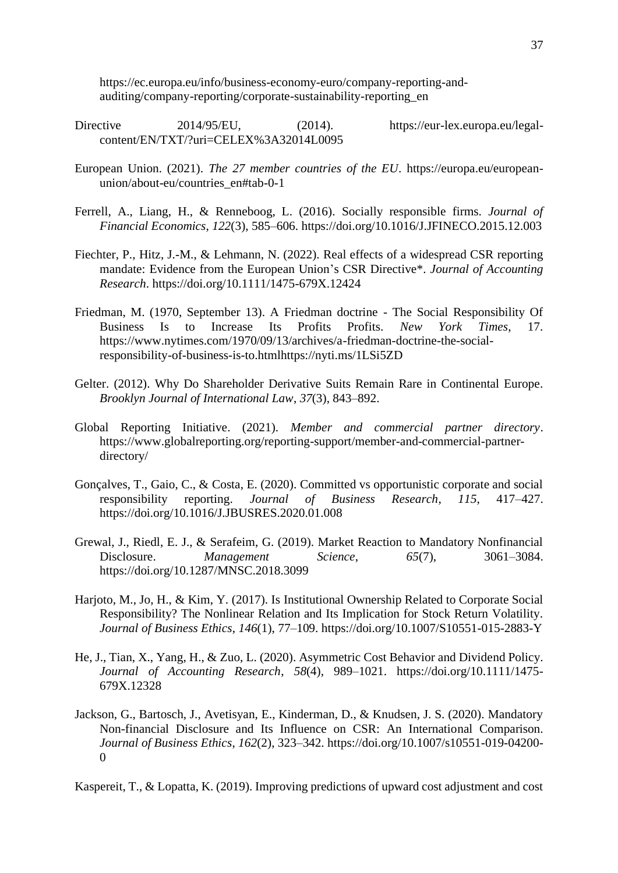https://ec.europa.eu/info/business-economy-euro/company-reporting-andauditing/company-reporting/corporate-sustainability-reporting\_en

- Directive 2014/95/EU, (2014). https://eur-lex.europa.eu/legalcontent/EN/TXT/?uri=CELEX%3A32014L0095
- European Union. (2021). *The 27 member countries of the EU*. https://europa.eu/europeanunion/about-eu/countries\_en#tab-0-1
- Ferrell, A., Liang, H., & Renneboog, L. (2016). Socially responsible firms. *Journal of Financial Economics*, *122*(3), 585–606. https://doi.org/10.1016/J.JFINECO.2015.12.003
- Fiechter, P., Hitz, J.-M., & Lehmann, N. (2022). Real effects of a widespread CSR reporting mandate: Evidence from the European Union's CSR Directive\*. *Journal of Accounting Research*. https://doi.org/10.1111/1475-679X.12424
- Friedman, M. (1970, September 13). A Friedman doctrine The Social Responsibility Of Business Is to Increase Its Profits Profits. *New York Times*, 17. https://www.nytimes.com/1970/09/13/archives/a-friedman-doctrine-the-socialresponsibility-of-business-is-to.htmlhttps://nyti.ms/1LSi5ZD
- Gelter. (2012). Why Do Shareholder Derivative Suits Remain Rare in Continental Europe. *Brooklyn Journal of International Law*, *37*(3), 843–892.
- Global Reporting Initiative. (2021). *Member and commercial partner directory*. https://www.globalreporting.org/reporting-support/member-and-commercial-partnerdirectory/
- Gonçalves, T., Gaio, C., & Costa, E. (2020). Committed vs opportunistic corporate and social responsibility reporting. *Journal of Business Research*, *115*, 417–427. https://doi.org/10.1016/J.JBUSRES.2020.01.008
- Grewal, J., Riedl, E. J., & Serafeim, G. (2019). Market Reaction to Mandatory Nonfinancial Disclosure. *Management Science*, *65*(7), 3061–3084. https://doi.org/10.1287/MNSC.2018.3099
- Harjoto, M., Jo, H., & Kim, Y. (2017). Is Institutional Ownership Related to Corporate Social Responsibility? The Nonlinear Relation and Its Implication for Stock Return Volatility. *Journal of Business Ethics*, *146*(1), 77–109. https://doi.org/10.1007/S10551-015-2883-Y
- He, J., Tian, X., Yang, H., & Zuo, L. (2020). Asymmetric Cost Behavior and Dividend Policy. *Journal of Accounting Research*, *58*(4), 989–1021. https://doi.org/10.1111/1475- 679X.12328
- Jackson, G., Bartosch, J., Avetisyan, E., Kinderman, D., & Knudsen, J. S. (2020). Mandatory Non-financial Disclosure and Its Influence on CSR: An International Comparison. *Journal of Business Ethics*, *162*(2), 323–342. https://doi.org/10.1007/s10551-019-04200-  $\Omega$

Kaspereit, T., & Lopatta, K. (2019). Improving predictions of upward cost adjustment and cost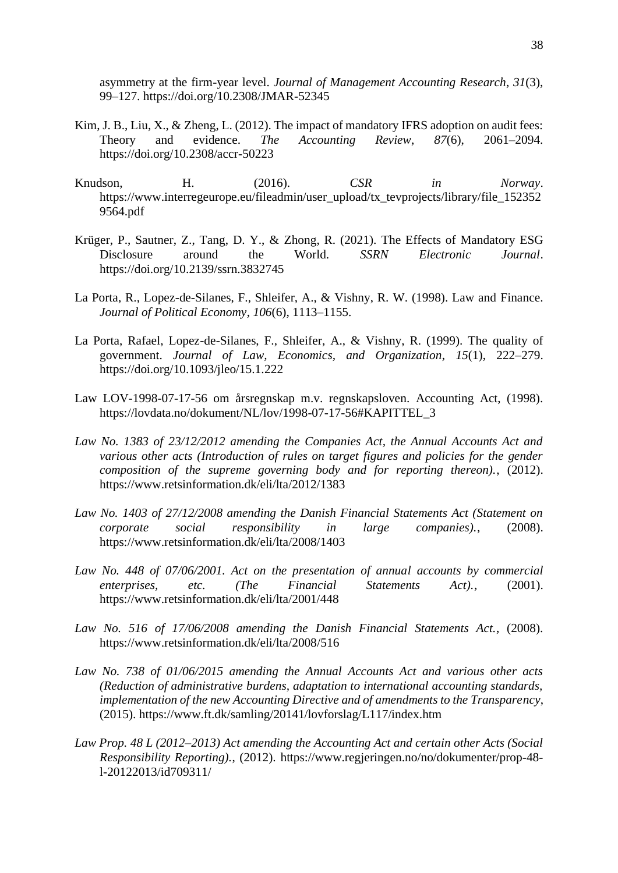asymmetry at the firm-year level. *Journal of Management Accounting Research*, *31*(3), 99–127. https://doi.org/10.2308/JMAR-52345

- Kim, J. B., Liu, X., & Zheng, L. (2012). The impact of mandatory IFRS adoption on audit fees: Theory and evidence. *The Accounting Review*, *87*(6), 2061–2094. https://doi.org/10.2308/accr-50223
- Knudson, H. (2016). *CSR in Norway*. https://www.interregeurope.eu/fileadmin/user\_upload/tx\_tevprojects/library/file\_152352 9564.pdf
- Krüger, P., Sautner, Z., Tang, D. Y., & Zhong, R. (2021). The Effects of Mandatory ESG Disclosure around the World. *SSRN Electronic Journal*. https://doi.org/10.2139/ssrn.3832745
- La Porta, R., Lopez-de-Silanes, F., Shleifer, A., & Vishny, R. W. (1998). Law and Finance. *Journal of Political Economy*, *106*(6), 1113–1155.
- La Porta, Rafael, Lopez-de-Silanes, F., Shleifer, A., & Vishny, R. (1999). The quality of government. *Journal of Law, Economics, and Organization*, *15*(1), 222–279. https://doi.org/10.1093/jleo/15.1.222
- Law LOV-1998-07-17-56 om årsregnskap m.v. regnskapsloven. Accounting Act, (1998). https://lovdata.no/dokument/NL/lov/1998-07-17-56#KAPITTEL\_3
- *Law No. 1383 of 23/12/2012 amending the Companies Act, the Annual Accounts Act and various other acts (Introduction of rules on target figures and policies for the gender composition of the supreme governing body and for reporting thereon).*, (2012). https://www.retsinformation.dk/eli/lta/2012/1383
- *Law No. 1403 of 27/12/2008 amending the Danish Financial Statements Act (Statement on corporate social responsibility in large companies).*, (2008). https://www.retsinformation.dk/eli/lta/2008/1403
- Law No. 448 of 07/06/2001. Act on the presentation of annual accounts by commercial *enterprises, etc. (The Financial Statements Act).*, (2001). https://www.retsinformation.dk/eli/lta/2001/448
- *Law No. 516 of 17/06/2008 amending the Danish Financial Statements Act.*, (2008). https://www.retsinformation.dk/eli/lta/2008/516
- *Law No. 738 of 01/06/2015 amending the Annual Accounts Act and various other acts (Reduction of administrative burdens, adaptation to international accounting standards, implementation of the new Accounting Directive and of amendments to the Transparency*, (2015). https://www.ft.dk/samling/20141/lovforslag/L117/index.htm
- *Law Prop. 48 L (2012–2013) Act amending the Accounting Act and certain other Acts (Social Responsibility Reporting).*, (2012). https://www.regjeringen.no/no/dokumenter/prop-48 l-20122013/id709311/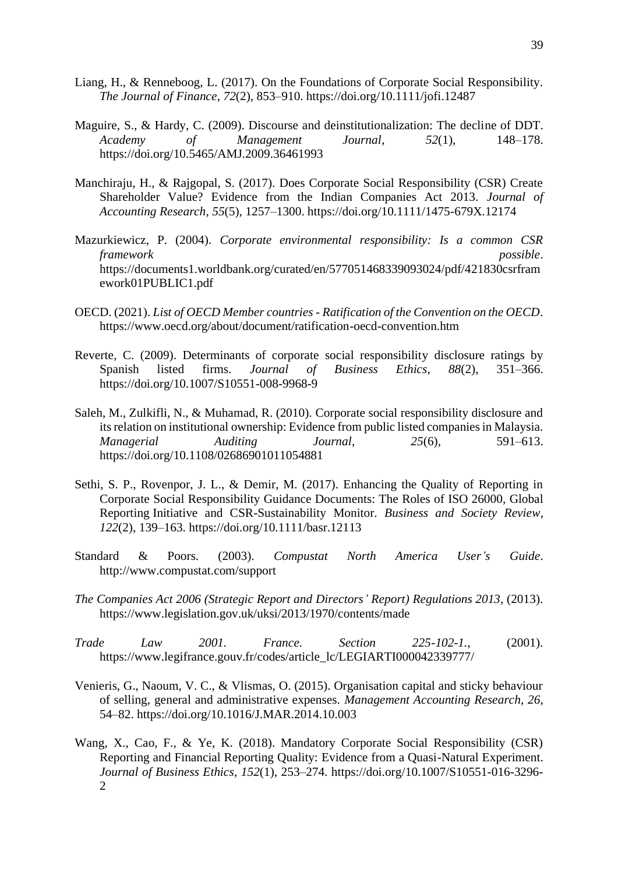- Liang, H., & Renneboog, L. (2017). On the Foundations of Corporate Social Responsibility. *The Journal of Finance*, *72*(2), 853–910. https://doi.org/10.1111/jofi.12487
- Maguire, S., & Hardy, C. (2009). Discourse and deinstitutionalization: The decline of DDT. *Academy of Management Journal*, *52*(1), 148–178. https://doi.org/10.5465/AMJ.2009.36461993
- Manchiraju, H., & Rajgopal, S. (2017). Does Corporate Social Responsibility (CSR) Create Shareholder Value? Evidence from the Indian Companies Act 2013. *Journal of Accounting Research*, *55*(5), 1257–1300. https://doi.org/10.1111/1475-679X.12174
- Mazurkiewicz, P. (2004). *Corporate environmental responsibility: Is a common CSR framework possible*. https://documents1.worldbank.org/curated/en/577051468339093024/pdf/421830csrfram ework01PUBLIC1.pdf
- OECD. (2021). *List of OECD Member countries - Ratification of the Convention on the OECD*. https://www.oecd.org/about/document/ratification-oecd-convention.htm
- Reverte, C. (2009). Determinants of corporate social responsibility disclosure ratings by Spanish listed firms. *Journal of Business Ethics*, *88*(2), 351–366. https://doi.org/10.1007/S10551-008-9968-9
- Saleh, M., Zulkifli, N., & Muhamad, R. (2010). Corporate social responsibility disclosure and its relation on institutional ownership: Evidence from public listed companies in Malaysia. *Managerial Auditing Journal*, *25*(6), 591–613. https://doi.org/10.1108/02686901011054881
- Sethi, S. P., Rovenpor, J. L., & Demir, M. (2017). Enhancing the Quality of Reporting in Corporate Social Responsibility Guidance Documents: The Roles of ISO 26000, Global Reporting Initiative and CSR-Sustainability Monitor. *Business and Society Review*, *122*(2), 139–163. https://doi.org/10.1111/basr.12113
- Standard & Poors. (2003). *Compustat North America User's Guide*. http://www.compustat.com/support
- *The Companies Act 2006 (Strategic Report and Directors' Report) Regulations 2013*, (2013). https://www.legislation.gov.uk/uksi/2013/1970/contents/made
- *Trade Law 2001. France. Section 225-102-1.*, (2001). https://www.legifrance.gouv.fr/codes/article\_lc/LEGIARTI000042339777/
- Venieris, G., Naoum, V. C., & Vlismas, O. (2015). Organisation capital and sticky behaviour of selling, general and administrative expenses. *Management Accounting Research*, *26*, 54–82. https://doi.org/10.1016/J.MAR.2014.10.003
- Wang, X., Cao, F., & Ye, K. (2018). Mandatory Corporate Social Responsibility (CSR) Reporting and Financial Reporting Quality: Evidence from a Quasi-Natural Experiment. *Journal of Business Ethics*, *152*(1), 253–274. https://doi.org/10.1007/S10551-016-3296- 2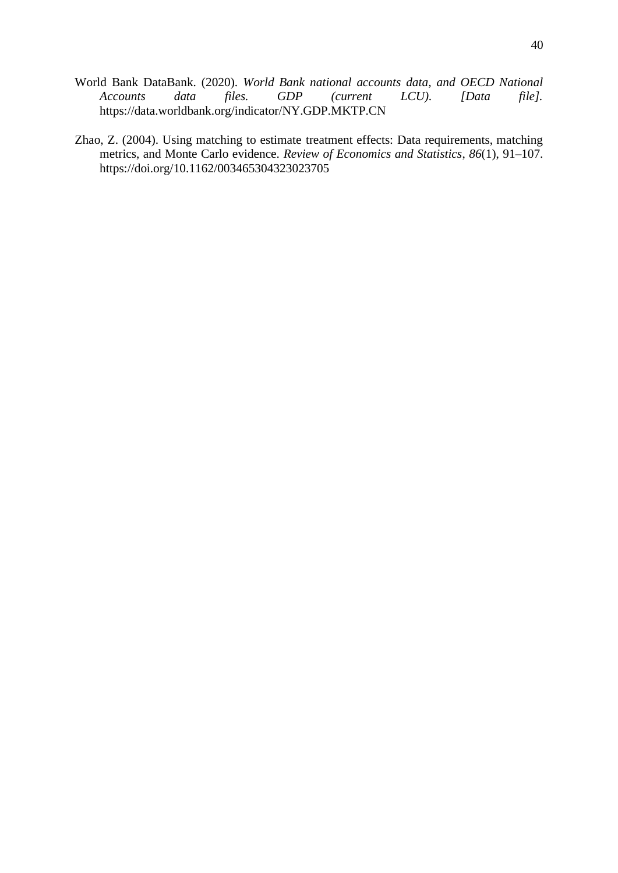- World Bank DataBank. (2020). *World Bank national accounts data, and OECD National Accounts data files. GDP (current LCU). [Data file].* https://data.worldbank.org/indicator/NY.GDP.MKTP.CN
- Zhao, Z. (2004). Using matching to estimate treatment effects: Data requirements, matching metrics, and Monte Carlo evidence. *Review of Economics and Statistics*, *86*(1), 91–107. https://doi.org/10.1162/003465304323023705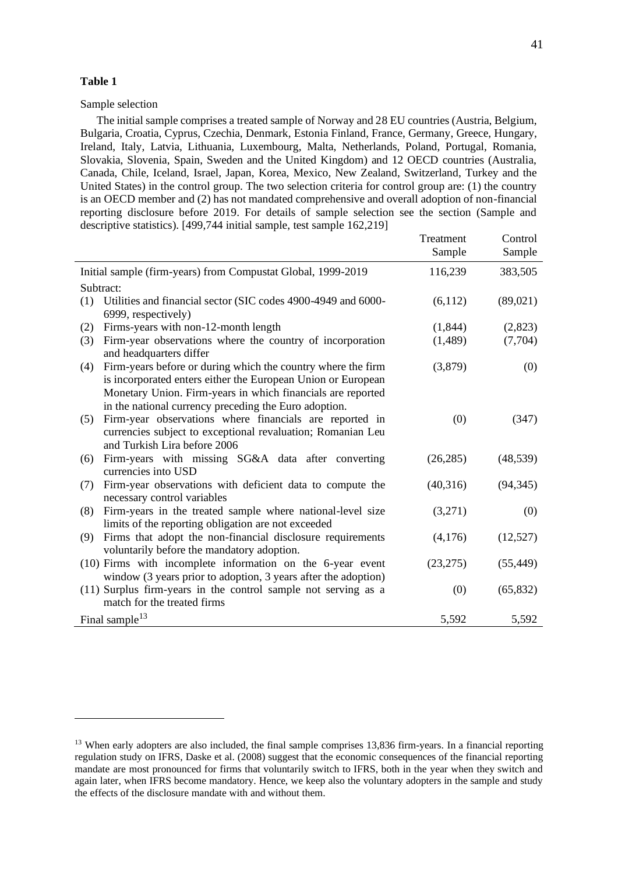Sample selection

The initial sample comprises a treated sample of Norway and 28 EU countries (Austria, Belgium, Bulgaria, Croatia, Cyprus, Czechia, Denmark, Estonia Finland, France, Germany, Greece, Hungary, Ireland, Italy, Latvia, Lithuania, Luxembourg, Malta, Netherlands, Poland, Portugal, Romania, Slovakia, Slovenia, Spain, Sweden and the United Kingdom) and 12 OECD countries (Australia, Canada, Chile, Iceland, Israel, Japan, Korea, Mexico, New Zealand, Switzerland, Turkey and the United States) in the control group. The two selection criteria for control group are: (1) the country is an OECD member and (2) has not mandated comprehensive and overall adoption of non-financial reporting disclosure before 2019. For details of sample selection see the section (Sample and descriptive statistics). [499,744 initial sample, test sample 162,219]

|                                                                                                                                                                                                                                                             | Treatment | Control   |
|-------------------------------------------------------------------------------------------------------------------------------------------------------------------------------------------------------------------------------------------------------------|-----------|-----------|
|                                                                                                                                                                                                                                                             | Sample    | Sample    |
| Initial sample (firm-years) from Compustat Global, 1999-2019                                                                                                                                                                                                | 116,239   | 383,505   |
| Subtract:                                                                                                                                                                                                                                                   |           |           |
| Utilities and financial sector (SIC codes 4900-4949 and 6000-<br>(1)<br>6999, respectively)                                                                                                                                                                 | (6,112)   | (89,021)  |
| Firms-years with non-12-month length<br>(2)                                                                                                                                                                                                                 | (1,844)   | (2,823)   |
| Firm-year observations where the country of incorporation<br>(3)<br>and headquarters differ                                                                                                                                                                 | (1,489)   | (7,704)   |
| Firm-years before or during which the country where the firm<br>(4)<br>is incorporated enters either the European Union or European<br>Monetary Union. Firm-years in which financials are reported<br>in the national currency preceding the Euro adoption. | (3,879)   | (0)       |
| Firm-year observations where financials are reported in<br>(5)<br>currencies subject to exceptional revaluation; Romanian Leu<br>and Turkish Lira before 2006                                                                                               | (0)       | (347)     |
| Firm-years with missing SG&A data after converting<br>(6)<br>currencies into USD                                                                                                                                                                            | (26, 285) | (48, 539) |
| Firm-year observations with deficient data to compute the<br>(7)<br>necessary control variables                                                                                                                                                             | (40,316)  | (94, 345) |
| Firm-years in the treated sample where national-level size<br>(8)<br>limits of the reporting obligation are not exceeded                                                                                                                                    | (3,271)   | (0)       |
| Firms that adopt the non-financial disclosure requirements<br>(9)<br>voluntarily before the mandatory adoption.                                                                                                                                             | (4,176)   | (12,527)  |
| (10) Firms with incomplete information on the 6-year event<br>window (3 years prior to adoption, 3 years after the adoption)                                                                                                                                | (23, 275) | (55, 449) |
| (11) Surplus firm-years in the control sample not serving as a<br>match for the treated firms                                                                                                                                                               | (0)       | (65, 832) |
| Final sample <sup>13</sup>                                                                                                                                                                                                                                  | 5,592     | 5,592     |

<sup>&</sup>lt;sup>13</sup> When early adopters are also included, the final sample comprises 13,836 firm-years. In a financial reporting regulation study on IFRS, Daske et al. (2008) suggest that the economic consequences of the financial reporting mandate are most pronounced for firms that voluntarily switch to IFRS, both in the year when they switch and again later, when IFRS become mandatory. Hence, we keep also the voluntary adopters in the sample and study the effects of the disclosure mandate with and without them.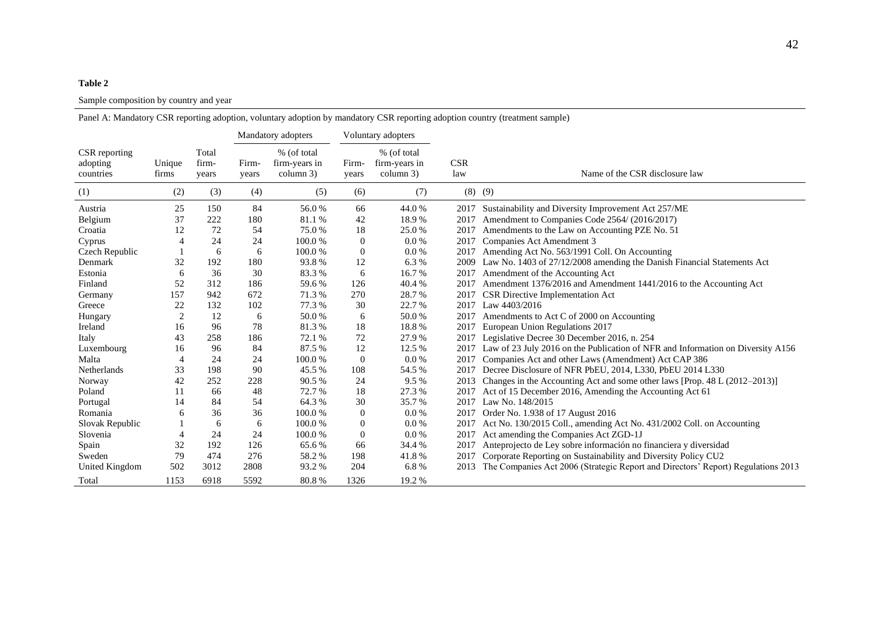#### Sample composition by country and year

|                                        |                 |                         |                | Mandatory adopters                        |                  | Voluntary adopters                        |                   |                                                                                       |
|----------------------------------------|-----------------|-------------------------|----------------|-------------------------------------------|------------------|-------------------------------------------|-------------------|---------------------------------------------------------------------------------------|
| CSR reporting<br>adopting<br>countries | Unique<br>firms | Total<br>firm-<br>years | Firm-<br>years | % (of total<br>firm-years in<br>column 3) | Firm-<br>years   | % (of total<br>firm-years in<br>column 3) | <b>CSR</b><br>law | Name of the CSR disclosure law                                                        |
| (1)                                    | (2)             | (3)                     | (4)            | (5)                                       | (6)              | (7)                                       | $(8)$ $(9)$       |                                                                                       |
| Austria                                | 25              | 150                     | 84             | 56.0%                                     | 66               | 44.0%                                     | 2017              | Sustainability and Diversity Improvement Act 257/ME                                   |
| Belgium                                | 37              | 222                     | 180            | 81.1%                                     | 42               | 18.9%                                     | 2017              | Amendment to Companies Code 2564/ (2016/2017)                                         |
| Croatia                                | 12              | $72\,$                  | 54             | 75.0%                                     | 18               | 25.0%                                     | 2017              | Amendments to the Law on Accounting PZE No. 51                                        |
| Cyprus                                 | $\overline{4}$  | 24                      | 24             | 100.0%                                    | $\boldsymbol{0}$ | 0.0 %                                     | 2017              | Companies Act Amendment 3                                                             |
| Czech Republic                         |                 | 6                       | 6              | 100.0%                                    | $\boldsymbol{0}$ | 0.0 %                                     | 2017              | Amending Act No. 563/1991 Coll. On Accounting                                         |
| Denmark                                | 32              | 192                     | 180            | 93.8%                                     | 12               | 6.3%                                      | 2009              | Law No. 1403 of 27/12/2008 amending the Danish Financial Statements Act               |
| Estonia                                | 6               | 36                      | 30             | 83.3%                                     | 6                | 16.7%                                     | 2017              | Amendment of the Accounting Act                                                       |
| Finland                                | 52              | 312                     | 186            | 59.6%                                     | 126              | 40.4 %                                    | 2017              | Amendment 1376/2016 and Amendment 1441/2016 to the Accounting Act                     |
| Germany                                | 157             | 942                     | 672            | 71.3%                                     | 270              | 28.7%                                     | 2017              | CSR Directive Implementation Act                                                      |
| Greece                                 | 22              | 132                     | 102            | 77.3 %                                    | 30               | 22.7 %                                    | 2017              | Law 4403/2016                                                                         |
| Hungary                                | 2               | 12                      | 6              | 50.0%                                     | 6                | 50.0%                                     | 2017              | Amendments to Act C of 2000 on Accounting                                             |
| Ireland                                | 16              | 96                      | 78             | 81.3%                                     | 18               | 18.8%                                     | 2017              | European Union Regulations 2017                                                       |
| Italy                                  | 43              | 258                     | 186            | 72.1 %                                    | 72               | 27.9%                                     | 2017              | Legislative Decree 30 December 2016, n. 254                                           |
| Luxembourg                             | 16              | 96                      | 84             | 87.5%                                     | 12               | 12.5 %                                    |                   | 2017 Law of 23 July 2016 on the Publication of NFR and Information on Diversity A156  |
| Malta                                  | 4               | 24                      | 24             | 100.0%                                    | $\mathbf{0}$     | 0.0 %                                     | 2017              | Companies Act and other Laws (Amendment) Act CAP 386                                  |
| Netherlands                            | 33              | 198                     | 90             | 45.5 %                                    | 108              | 54.5 %                                    | 2017              | Decree Disclosure of NFR PbEU, 2014, L330, PbEU 2014 L330                             |
| Norway                                 | 42              | 252                     | 228            | 90.5%                                     | 24               | 9.5%                                      | 2013              | Changes in the Accounting Act and some other laws [Prop. 48 L (2012–2013)]            |
| Poland                                 | 11              | 66                      | 48             | 72.7%                                     | 18               | 27.3%                                     | 2017              | Act of 15 December 2016, Amending the Accounting Act 61                               |
| Portugal                               | 14              | 84                      | 54             | 64.3%                                     | 30               | 35.7 %                                    | 2017              | Law No. 148/2015                                                                      |
| Romania                                | 6               | 36                      | 36             | 100.0%                                    | $\overline{0}$   | 0.0 %                                     |                   | 2017 Order No. 1.938 of 17 August 2016                                                |
| Slovak Republic                        |                 | 6                       | 6              | 100.0%                                    | $\mathbf{0}$     | 0.0 %                                     | 2017              | Act No. 130/2015 Coll., amending Act No. 431/2002 Coll. on Accounting                 |
| Slovenia                               | 4               | 24                      | 24             | 100.0%                                    | $\boldsymbol{0}$ | 0.0 %                                     | 2017              | Act amending the Companies Act ZGD-1J                                                 |
| Spain                                  | 32              | 192                     | 126            | 65.6%                                     | 66               | 34.4 %                                    | 2017              | Anteprojecto de Ley sobre información no financiera y diversidad                      |
| Sweden                                 | 79              | 474                     | 276            | 58.2%                                     | 198              | 41.8%                                     | 2017              | Corporate Reporting on Sustainability and Diversity Policy CU2                        |
| United Kingdom                         | 502             | 3012                    | 2808           | 93.2%                                     | 204              | 6.8%                                      |                   | 2013 The Companies Act 2006 (Strategic Report and Directors' Report) Regulations 2013 |
| Total                                  | 1153            | 6918                    | 5592           | 80.8%                                     | 1326             | 19.2 %                                    |                   |                                                                                       |

Panel A: Mandatory CSR reporting adoption, voluntary adoption by mandatory CSR reporting adoption country (treatment sample)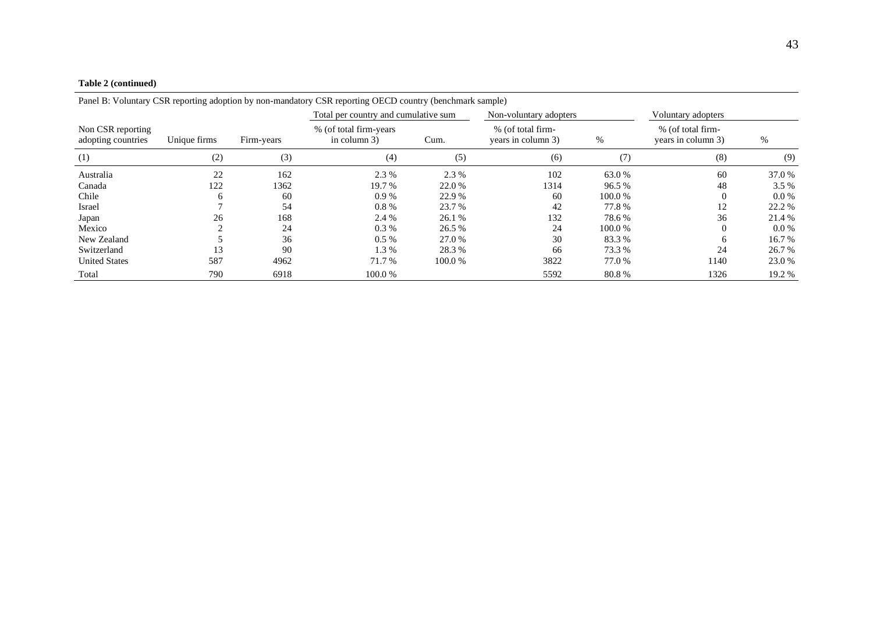#### **Table 2 (continued)**

|                                         |              |            | Panel B: Voluntary CSR reporting adoption by non-mandatory CSR reporting OECD country (benchmark sample) |         |                                         |         |                                         |         |
|-----------------------------------------|--------------|------------|----------------------------------------------------------------------------------------------------------|---------|-----------------------------------------|---------|-----------------------------------------|---------|
|                                         |              |            | Total per country and cumulative sum                                                                     |         | Non-voluntary adopters                  |         | Voluntary adopters                      |         |
| Non CSR reporting<br>adopting countries | Unique firms | Firm-years | % (of total firm-years)<br>in column 3)                                                                  | Cum.    | % (of total firm-<br>years in column 3) | $\%$    | % (of total firm-<br>years in column 3) | %       |
| (1)                                     | (2)          | (3)        | (4)                                                                                                      | (5)     | (6)                                     | (7)     | (8)                                     | (9)     |
| Australia                               | 22           | 162        | 2.3 %                                                                                                    | 2.3 %   | 102                                     | 63.0%   | 60                                      | 37.0 %  |
| Canada                                  | 122          | 1362       | 19.7 %                                                                                                   | 22.0 %  | 1314                                    | 96.5%   | 48                                      | 3.5%    |
| Chile                                   | h            | 60         | $0.9\%$                                                                                                  | 22.9 %  | 60                                      | 100.0 % |                                         | $0.0\%$ |
| Israel                                  |              | 54         | 0.8 %                                                                                                    | 23.7 %  | 42                                      | 77.8%   | 12                                      | 22.2 %  |
| Japan                                   | 26           | 168        | 2.4 %                                                                                                    | 26.1 %  | 132                                     | 78.6%   | 36                                      | 21.4 %  |
| Mexico                                  |              | 24         | 0.3 %                                                                                                    | 26.5 %  | 24                                      | 100.0 % |                                         | $0.0\%$ |
| New Zealand                             |              | 36         | $0.5\%$                                                                                                  | 27.0 %  | 30                                      | 83.3%   | <sub>0</sub>                            | 16.7 %  |
| Switzerland                             | 13           | 90         | 1.3%                                                                                                     | 28.3 %  | 66                                      | 73.3 %  | 24                                      | 26.7 %  |
| <b>United States</b>                    | 587          | 4962       | 71.7 %                                                                                                   | 100.0 % | 3822                                    | 77.0 %  | 1140                                    | 23.0 %  |
| Total                                   | 790          | 6918       | 100.0 %                                                                                                  |         | 5592                                    | 80.8%   | 1326                                    | 19.2 %  |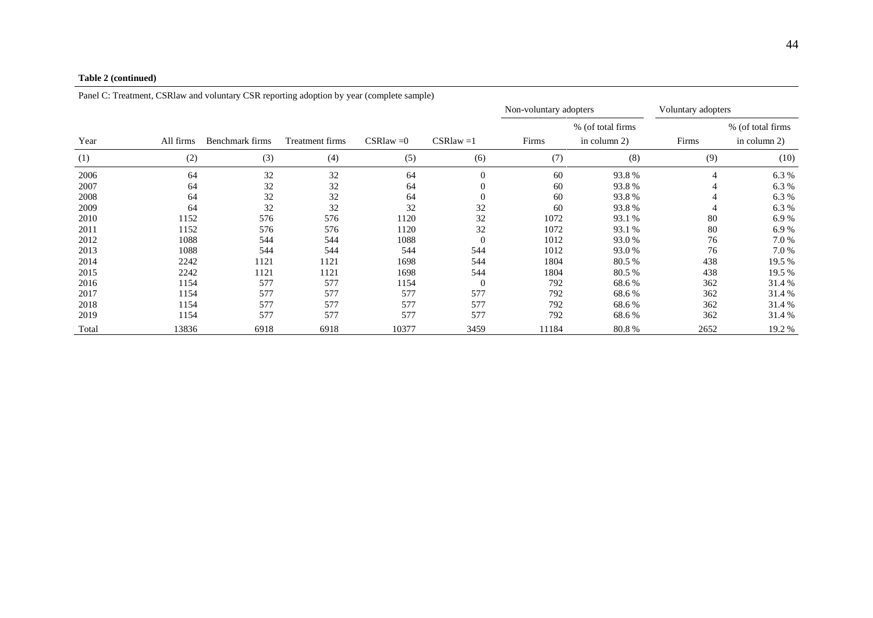#### **Table 2 (continued)**

|       |           | . .<br>$\mathbf{1}$<br>Non-voluntary adopters |                 | Voluntary adopters |              |       |                    |       |                   |
|-------|-----------|-----------------------------------------------|-----------------|--------------------|--------------|-------|--------------------|-------|-------------------|
|       |           |                                               |                 |                    |              |       | % (of total firms) |       | % (of total firms |
| Year  | All firms | Benchmark firms                               | Treatment firms | $CS$ Rlaw $=0$     | $CS$ Rlaw =1 | Firms | in column 2)       | Firms | in column 2)      |
| (1)   | (2)       | (3)                                           | (4)             | (5)                | (6)          | (7)   | (8)                | (9)   | (10)              |
| 2006  | 64        | 32                                            | 32              | 64                 | $\theta$     | 60    | 93.8%              | 4     | 6.3 %             |
| 2007  | 64        | 32                                            | 32              | 64                 | $\theta$     | 60    | 93.8%              | 4     | 6.3 %             |
| 2008  | 64        | 32                                            | 32              | 64                 | $\theta$     | 60    | 93.8%              | 4     | 6.3 %             |
| 2009  | 64        | 32                                            | 32              | 32                 | 32           | 60    | 93.8%              | 4     | 6.3%              |
| 2010  | 1152      | 576                                           | 576             | 1120               | 32           | 1072  | 93.1 %             | 80    | 6.9%              |
| 2011  | 1152      | 576                                           | 576             | 1120               | 32           | 1072  | 93.1 %             | 80    | 6.9%              |
| 2012  | 1088      | 544                                           | 544             | 1088               | $\theta$     | 1012  | 93.0 %             | 76    | 7.0 %             |
| 2013  | 1088      | 544                                           | 544             | 544                | 544          | 1012  | 93.0 %             | 76    | 7.0 %             |
| 2014  | 2242      | 1121                                          | 1121            | 1698               | 544          | 1804  | 80.5 %             | 438   | 19.5 %            |
| 2015  | 2242      | 1121                                          | 1121            | 1698               | 544          | 1804  | 80.5%              | 438   | 19.5 %            |
| 2016  | 1154      | 577                                           | 577             | 1154               | $\theta$     | 792   | 68.6%              | 362   | 31.4 %            |
| 2017  | 1154      | 577                                           | 577             | 577                | 577          | 792   | 68.6%              | 362   | 31.4%             |
| 2018  | 1154      | 577                                           | 577             | 577                | 577          | 792   | 68.6 %             | 362   | 31.4%             |
| 2019  | 1154      | 577                                           | 577             | 577                | 577          | 792   | 68.6%              | 362   | 31.4%             |
| Total | 13836     | 6918                                          | 6918            | 10377              | 3459         | 11184 | 80.8%              | 2652  | 19.2 %            |

Panel C: Treatment, CSRlaw and voluntary CSR reporting adoption by year (complete sample)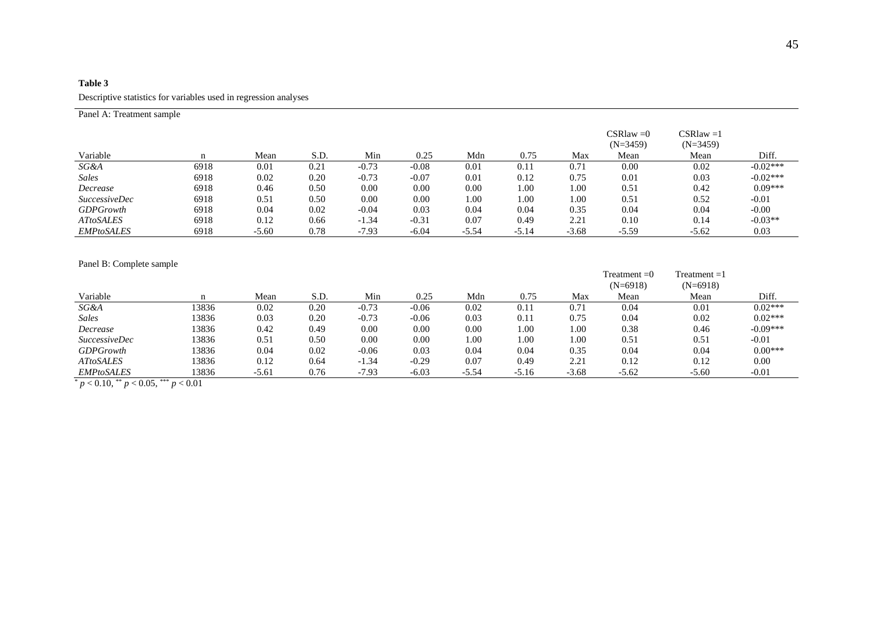### **Table 3** Descriptive statistics for variables used in regression analyses

| Panel A: Treatment sample |      |         |      |         |         |         |         |         |                              |                            |            |
|---------------------------|------|---------|------|---------|---------|---------|---------|---------|------------------------------|----------------------------|------------|
|                           |      |         |      |         |         |         |         |         | $CS$ Rlaw $=0$<br>$(N=3459)$ | $CS$ Rlaw =1<br>$(N=3459)$ |            |
| Variable                  | n    | Mean    | S.D. | Min     | 0.25    | Mdn     | 0.75    | Max     | Mean                         | Mean                       | Diff.      |
| SG&A                      | 6918 | 0.01    | 0.21 | $-0.73$ | $-0.08$ | 0.01    | 0.11    | 0.71    | 0.00                         | 0.02                       | $-0.02***$ |
| <b>Sales</b>              | 6918 | 0.02    | 0.20 | $-0.73$ | $-0.07$ | 0.01    | 0.12    | 0.75    | 0.01                         | 0.03                       | $-0.02***$ |
| Decrease                  | 6918 | 0.46    | 0.50 | 0.00    | 0.00    | 0.00    | 1.00    | 1.00    | 0.51                         | 0.42                       | $0.09***$  |
| <i>SuccessiveDec</i>      | 6918 | 0.51    | 0.50 | 0.00    | 0.00    | 00.1    | 1.00    | 1.00    | 0.51                         | 0.52                       | $-0.01$    |
| <b>GDPGrowth</b>          | 6918 | 0.04    | 0.02 | $-0.04$ | 0.03    | 0.04    | 0.04    | 0.35    | 0.04                         | 0.04                       | $-0.00$    |
| <b>ATtoSALES</b>          | 6918 | 0.12    | 0.66 | $-1.34$ | $-0.31$ | 0.07    | 0.49    | 2.21    | 0.10                         | 0.14                       | $-0.03**$  |
| <b>EMPtoSALES</b>         | 6918 | $-5.60$ | 0.78 | $-7.93$ | $-6.04$ | $-5.54$ | $-5.14$ | $-3.68$ | $-5.59$                      | $-5.62$                    | 0.03       |

Panel B: Complete sample

|                      |       |         |      |         |         |         |         |         | Treatment $=0$ | $Treatment = 1$ |            |
|----------------------|-------|---------|------|---------|---------|---------|---------|---------|----------------|-----------------|------------|
|                      |       |         |      |         |         |         |         |         | $(N=6918)$     | $(N=6918)$      |            |
| Variable             | n     | Mean    | S.D. | Min     | 0.25    | Mdn     | 0.75    | Max     | Mean           | Mean            | Diff.      |
| SG&A                 | 3836  | 0.02    | 0.20 | $-0.73$ | $-0.06$ | 0.02    | 0.11    | 0.71    | 0.04           | 0.01            | $0.02***$  |
| Sales                | 3836  | 0.03    | 0.20 | $-0.73$ | $-0.06$ | 0.03    | 0.11    | 0.75    | 0.04           | 0.02            | $0.02***$  |
| Decrease             | 3836  | 0.42    | 0.49 | 0.00    | 0.00    | 0.00    | 1.00    | 1.00    | 0.38           | 0.46            | $-0.09***$ |
| <i>SuccessiveDec</i> | 13836 | 0.51    | 0.50 | 0.00    | 0.00    | 1.00    | 1.00    | 1.00    | 0.51           | 0.51            | $-0.01$    |
| <b>GDPGrowth</b>     | 3836  | 0.04    | 0.02 | $-0.06$ | 0.03    | 0.04    | 0.04    | 0.35    | 0.04           | 0.04            | $0.00***$  |
| <b>ATtoSALES</b>     | 3836  | 0.12    | 0.64 | $-1.34$ | $-0.29$ | 0.07    | 0.49    | 2.21    | 0.12           | 0.12            | 0.00       |
| <b>EMPtoSALES</b>    | !3836 | $-5.61$ | 0.76 | $-7.93$ | $-6.03$ | $-5.54$ | $-5.16$ | $-3.68$ | -5.62          | $-5.60$         | $-0.01$    |

 $\frac{p}{p}$  < 0.10,  $\frac{k}{p}$  < 0.05,  $\frac{k}{p}$  < 0.01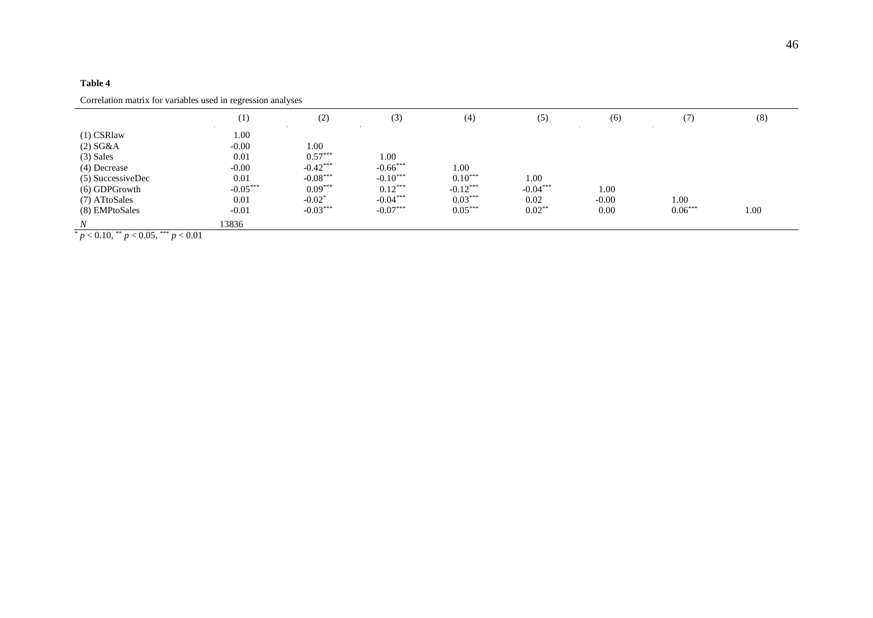|                                                                                                                                        | (1)                                                                         | (2)                                                                                  | (3)                                                                       | (4)                                                       | (5)                                     | (6)                     | (7)               | (8)  |
|----------------------------------------------------------------------------------------------------------------------------------------|-----------------------------------------------------------------------------|--------------------------------------------------------------------------------------|---------------------------------------------------------------------------|-----------------------------------------------------------|-----------------------------------------|-------------------------|-------------------|------|
| $(1)$ CSRlaw<br>$(2) S G \& A$<br>$(3)$ Sales<br>(4) Decrease<br>(5) SuccessiveDec<br>(6) GDPGrowth<br>(7) ATtoSales<br>(8) EMPtoSales | 1.00<br>$-0.00$<br>0.01<br>$-0.00$<br>0.01<br>$-0.05***$<br>0.01<br>$-0.01$ | 1.00<br>$0.57***$<br>$-0.42***$<br>$-0.08***$<br>$0.09***$<br>$-0.02*$<br>$-0.03***$ | 1.00<br>$-0.66***$<br>$-0.10***$<br>$0.12***$<br>$-0.04***$<br>$-0.07***$ | 1.00<br>$0.10***$<br>$-0.12***$<br>$0.03***$<br>$0.05***$ | 1.00<br>$-0.04***$<br>0.02<br>$0.02***$ | 1.00<br>$-0.00$<br>0.00 | 1.00<br>$0.06***$ | 1.00 |
| N<br>$\sim 0.10^{44}$ $\sim 0.05^{44}$ $\sim 0.01$                                                                                     | 13836                                                                       |                                                                                      |                                                                           |                                                           |                                         |                         |                   |      |

Correlation matrix for variables used in regression analyses

 $p < 0.10,$  \*\*  $p < 0.05,$  \*\*\*  $p < 0.01$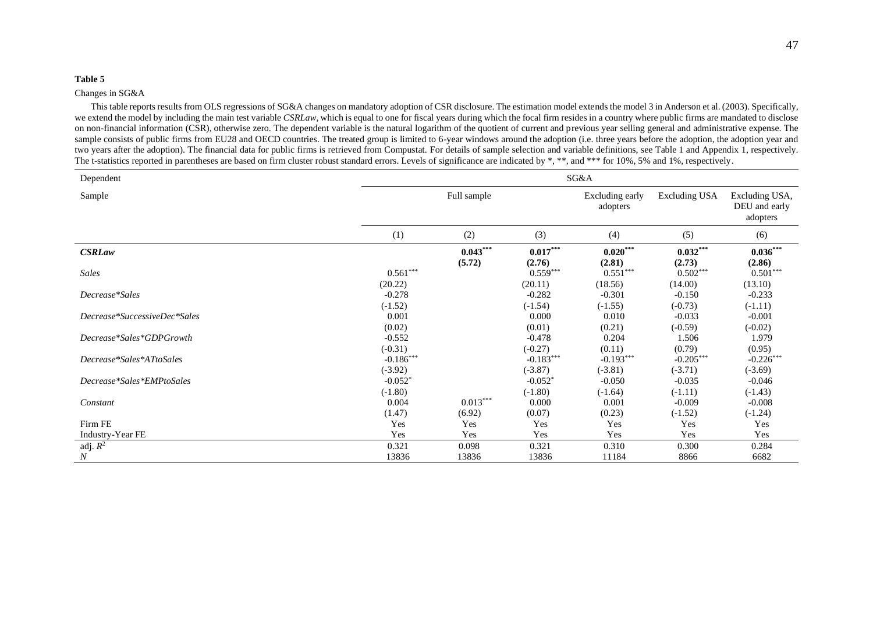#### Changes in SG&A

This table reports results from OLS regressions of SG&A changes on mandatory adoption of CSR disclosure. The estimation model extends the model 3 in Anderson et al. (2003). Specifically, we extend the model by including the main test variable *CSRLaw*, which is equal to one for fiscal years during which the focal firm resides in a country where public firms are mandated to disclose on non-financial information (CSR), otherwise zero. The dependent variable is the natural logarithm of the quotient of current and previous year selling general and administrative expense. The sample consists of public firms from EU28 and OECD countries. The treated group is limited to 6-year windows around the adoption (i.e. three years before the adoption, the adoption year and two years after the adoption). The financial data for public firms is retrieved from Compustat. For details of sample selection and variable definitions, see Table 1 and Appendix 1, respectively. The t-statistics reported in parentheses are based on firm cluster robust standard errors. Levels of significance are indicated by \*, \*\*, and \*\*\* for 10%, 5% and 1%, respectively.

| Dependent                    | SG&A                            |                      |                                 |                             |                              |                                             |  |  |  |
|------------------------------|---------------------------------|----------------------|---------------------------------|-----------------------------|------------------------------|---------------------------------------------|--|--|--|
| Sample                       |                                 | Full sample          |                                 | Excluding early<br>adopters | Excluding USA                | Excluding USA,<br>DEU and early<br>adopters |  |  |  |
|                              | (1)                             | (2)                  | (3)                             | (4)                         | (5)                          | (6)                                         |  |  |  |
| <b>CSRLaw</b>                |                                 | $0.043***$<br>(5.72) | $0.017***$<br>(2.76)            | $0.020***$<br>(2.81)        | $0.032***$<br>(2.73)         | $0.036***$<br>(2.86)                        |  |  |  |
| Sales                        | $0.561***$<br>(20.22)           |                      | $0.559***$<br>(20.11)           | $0.551***$<br>(18.56)       | $0.502***$<br>(14.00)        | $0.501***$<br>(13.10)                       |  |  |  |
| Decrease*Sales               | $-0.278$<br>$(-1.52)$           |                      | $-0.282$<br>$(-1.54)$           | $-0.301$<br>$(-1.55)$       | $-0.150$<br>$(-0.73)$        | $-0.233$<br>$(-1.11)$                       |  |  |  |
| Decrease*SuccessiveDec*Sales | 0.001                           |                      | 0.000                           | 0.010                       | $-0.033$                     | $-0.001$                                    |  |  |  |
| Decrease*Sales*GDPGrowth     | (0.02)<br>$-0.552$<br>$(-0.31)$ |                      | (0.01)<br>$-0.478$<br>$(-0.27)$ | (0.21)<br>0.204<br>(0.11)   | $(-0.59)$<br>1.506<br>(0.79) | $(-0.02)$<br>1.979<br>(0.95)                |  |  |  |
| Decrease*Sales*ATtoSales     | $-0.186***$<br>$(-3.92)$        |                      | $-0.183***$<br>$(-3.87)$        | $-0.193***$<br>$(-3.81)$    | $-0.205***$<br>$(-3.71)$     | $-0.226***$<br>$(-3.69)$                    |  |  |  |
| Decrease*Sales*EMPtoSales    | $-0.052*$<br>$(-1.80)$          |                      | $-0.052*$<br>$(-1.80)$          | $-0.050$<br>$(-1.64)$       | $-0.035$<br>$(-1.11)$        | $-0.046$<br>$(-1.43)$                       |  |  |  |
| Constant                     | 0.004<br>(1.47)                 | $0.013***$<br>(6.92) | 0.000<br>(0.07)                 | 0.001<br>(0.23)             | $-0.009$<br>$(-1.52)$        | $-0.008$<br>$(-1.24)$                       |  |  |  |
| Firm FE                      | Yes                             | Yes                  | Yes                             | Yes                         | Yes                          | Yes                                         |  |  |  |
| Industry-Year FE             | Yes                             | Yes                  | Yes                             | Yes                         | Yes                          | Yes                                         |  |  |  |
| adj. $R^2$                   | 0.321                           | 0.098                | 0.321                           | 0.310                       | 0.300                        | 0.284                                       |  |  |  |
| $\boldsymbol{N}$             | 13836                           | 13836                | 13836                           | 11184                       | 8866                         | 6682                                        |  |  |  |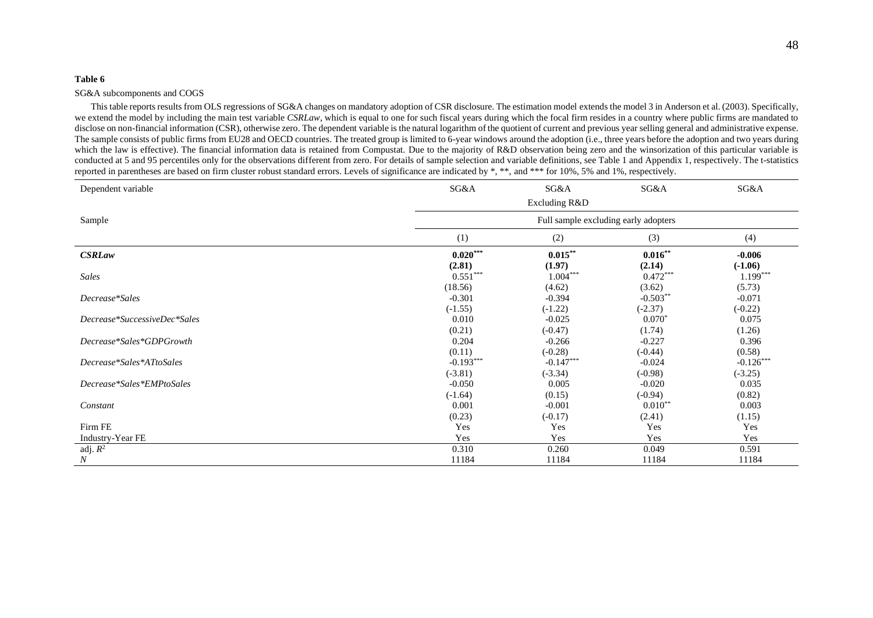#### SG&A subcomponents and COGS

This table reports results from OLS regressions of SG&A changes on mandatory adoption of CSR disclosure. The estimation model extends the model 3 in Anderson et al. (2003). Specifically, we extend the model by including the main test variable *CSRLaw*, which is equal to one for such fiscal years during which the focal firm resides in a country where public firms are mandated to disclose on non-financial information (CSR), otherwise zero. The dependent variable is the natural logarithm of the quotient of current and previous year selling general and administrative expense. The sample consists of public firms from EU28 and OECD countries. The treated group is limited to 6-year windows around the adoption (i.e., three years before the adoption and two years during which the law is effective). The financial information data is retained from Compustat. Due to the majority of R&D observation being zero and the winsorization of this particular variable is conducted at 5 and 95 percentiles only for the observations different from zero. For details of sample selection and variable definitions, see Table 1 and Appendix 1, respectively. The t-statistics reported in parentheses are based on firm cluster robust standard errors. Levels of significance are indicated by \*, \*\*, and \*\*\* for 10%, 5% and 1%, respectively.

| Dependent variable           | SG&A                                 | SG&A          | SG&A       | SG&A        |  |  |  |  |  |
|------------------------------|--------------------------------------|---------------|------------|-------------|--|--|--|--|--|
|                              |                                      | Excluding R&D |            |             |  |  |  |  |  |
| Sample                       | Full sample excluding early adopters |               |            |             |  |  |  |  |  |
|                              | (1)                                  | (2)           | (3)        | (4)         |  |  |  |  |  |
| <b>CSRLaw</b>                | $0.020***$                           | $0.015***$    | $0.016***$ | $-0.006$    |  |  |  |  |  |
|                              | (2.81)                               | (1.97)        | (2.14)     | $(-1.06)$   |  |  |  |  |  |
| <b>Sales</b>                 | $0.551***$                           | $1.004***$    | $0.472***$ | $1.199***$  |  |  |  |  |  |
|                              | (18.56)                              | (4.62)        | (3.62)     | (5.73)      |  |  |  |  |  |
| Decrease*Sales               | $-0.301$                             | $-0.394$      | $-0.503**$ | $-0.071$    |  |  |  |  |  |
|                              | $(-1.55)$                            | $(-1.22)$     | $(-2.37)$  | $(-0.22)$   |  |  |  |  |  |
| Decrease*SuccessiveDec*Sales | 0.010                                | $-0.025$      | $0.070*$   | 0.075       |  |  |  |  |  |
|                              | (0.21)                               | $(-0.47)$     | (1.74)     | (1.26)      |  |  |  |  |  |
| Decrease*Sales*GDPGrowth     | 0.204                                | $-0.266$      | $-0.227$   | 0.396       |  |  |  |  |  |
|                              | (0.11)                               | $(-0.28)$     | $(-0.44)$  | (0.58)      |  |  |  |  |  |
| Decrease*Sales*ATtoSales     | $-0.193***$                          | $-0.147***$   | $-0.024$   | $-0.126***$ |  |  |  |  |  |
|                              | $(-3.81)$                            | $(-3.34)$     | $(-0.98)$  | $(-3.25)$   |  |  |  |  |  |
| Decrease*Sales*EMPtoSales    | $-0.050$                             | 0.005         | $-0.020$   | 0.035       |  |  |  |  |  |
|                              | $(-1.64)$                            | (0.15)        | $(-0.94)$  | (0.82)      |  |  |  |  |  |
| Constant                     | 0.001                                | $-0.001$      | $0.010**$  | 0.003       |  |  |  |  |  |
|                              | (0.23)                               | $(-0.17)$     | (2.41)     | (1.15)      |  |  |  |  |  |
| Firm FE                      | Yes                                  | Yes           | Yes        | Yes         |  |  |  |  |  |
| Industry-Year FE             | Yes                                  | Yes           | Yes        | Yes         |  |  |  |  |  |
| adj. $R^2$                   | 0.310                                | 0.260         | 0.049      | 0.591       |  |  |  |  |  |
| $\cal N$                     | 11184                                | 11184         | 11184      | 11184       |  |  |  |  |  |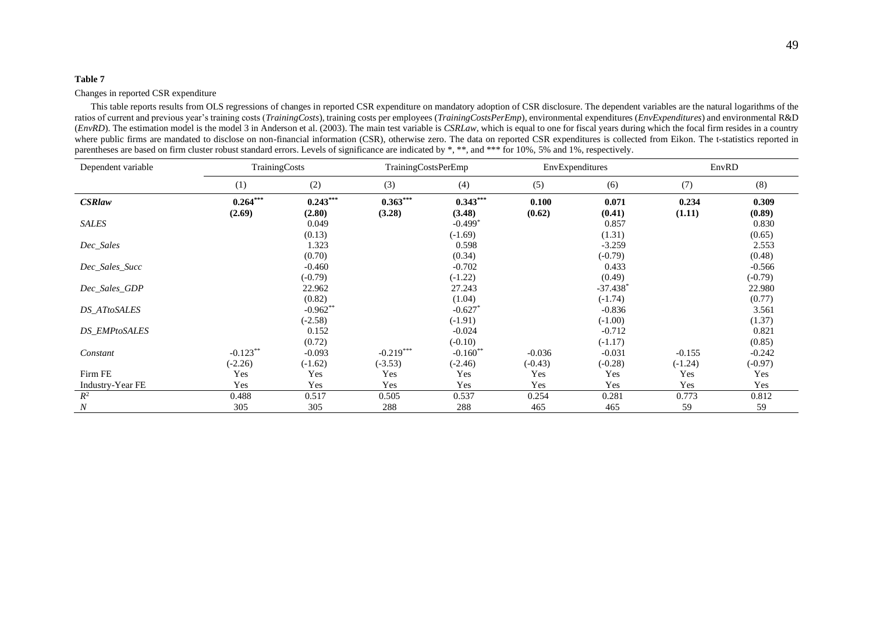#### Changes in reported CSR expenditure

This table reports results from OLS regressions of changes in reported CSR expenditure on mandatory adoption of CSR disclosure. The dependent variables are the natural logarithms of the ratios of current and previous year's training costs (*TrainingCosts*), training costs per employees (*TrainingCostsPerEmp*), environmental expenditures (*EnvExpenditures*) and environmental R&D (*EnvRD*). The estimation model is the model 3 in Anderson et al. (2003). The main test variable is *CSRLaw*, which is equal to one for fiscal years during which the focal firm resides in a country where public firms are mandated to disclose on non-financial information (CSR), otherwise zero. The data on reported CSR expenditures is collected from Eikon. The t-statistics reported in parentheses are based on firm cluster robust standard errors. Levels of significance are indicated by \*, \*\*, and \*\*\* for 10%, 5% and 1%, respectively.

| Dependent variable   | TrainingCosts        |                         |                      | <b>TrainingCostsPerEmp</b>         |                 | EnvExpenditures       | EnvRD           |                    |
|----------------------|----------------------|-------------------------|----------------------|------------------------------------|-----------------|-----------------------|-----------------|--------------------|
|                      | (1)                  | (2)                     | (3)                  | (4)                                | (5)             | (6)                   | (7)             | (8)                |
| <b>CSRlaw</b>        | $0.264***$<br>(2.69) | $0.243***$<br>(2.80)    | $0.363***$<br>(3.28) | $0.343***$<br>(3.48)               | 0.100<br>(0.62) | 0.071<br>(0.41)       | 0.234<br>(1.11) | 0.309<br>(0.89)    |
| SALES                |                      | 0.049                   |                      | $-0.499*$                          |                 | 0.857                 |                 | 0.830              |
|                      |                      | (0.13)                  |                      | $(-1.69)$                          |                 | (1.31)                |                 | (0.65)             |
| Dec_Sales            |                      | 1.323                   |                      | 0.598                              |                 | $-3.259$              |                 | 2.553              |
| Dec_Sales_Succ       |                      | (0.70)<br>$-0.460$      |                      | (0.34)<br>$-0.702$                 |                 | $(-0.79)$<br>0.433    |                 | (0.48)<br>$-0.566$ |
|                      |                      | $(-0.79)$               |                      | $(-1.22)$                          |                 | (0.49)                |                 | $(-0.79)$          |
| Dec_Sales_GDP        |                      | 22.962                  |                      | 27.243                             |                 | $-37.438*$            |                 | 22.980             |
|                      |                      | (0.82)                  |                      | (1.04)                             |                 | $(-1.74)$             |                 | (0.77)             |
| <b>DS_ATtoSALES</b>  |                      | $-0.962**$<br>$(-2.58)$ |                      | $-0.627$ <sup>*</sup><br>$(-1.91)$ |                 | $-0.836$<br>$(-1.00)$ |                 | 3.561<br>(1.37)    |
| <b>DS_EMPtoSALES</b> |                      | 0.152                   |                      | $-0.024$                           |                 | $-0.712$              |                 | 0.821              |
|                      |                      | (0.72)                  |                      | $(-0.10)$                          |                 | $(-1.17)$             |                 | (0.85)             |
| Constant             | $-0.123**$           | $-0.093$                | $-0.219***$          | $-0.160**$                         | $-0.036$        | $-0.031$              | $-0.155$        | $-0.242$           |
|                      | $(-2.26)$            | $(-1.62)$               | $(-3.53)$            | $(-2.46)$                          | $(-0.43)$       | $(-0.28)$             | $(-1.24)$       | $(-0.97)$          |
| Firm FE              | Yes                  | Yes                     | Yes                  | Yes                                | Yes             | Yes                   | Yes             | Yes                |
| Industry-Year FE     | Yes                  | Yes                     | Yes                  | Yes                                | Yes             | Yes                   | Yes             | Yes                |
| $R^2$                | 0.488                | 0.517                   | 0.505                | 0.537                              | 0.254           | 0.281                 | 0.773           | 0.812              |
| $\boldsymbol{N}$     | 305                  | 305                     | 288                  | 288                                | 465             | 465                   | 59              | 59                 |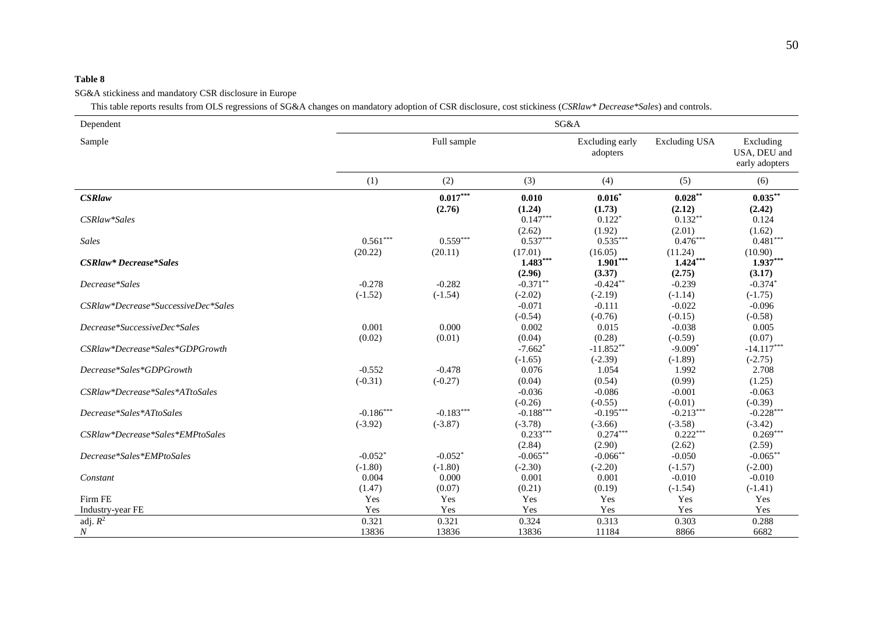#### SG&A stickiness and mandatory CSR disclosure in Europe

This table reports results from OLS regressions of SG&A changes on mandatory adoption of CSR disclosure, cost stickiness (*CSRlaw\* Decrease\*Sales*) and controls.

| Dependent                           |                          |                          |                                    | SG&A                        |                          |                                             |
|-------------------------------------|--------------------------|--------------------------|------------------------------------|-----------------------------|--------------------------|---------------------------------------------|
| Sample                              |                          | Full sample              |                                    | Excluding early<br>adopters | <b>Excluding USA</b>     | Excluding<br>USA, DEU and<br>early adopters |
|                                     | (1)                      | (2)                      | (3)                                | (4)                         | (5)                      | (6)                                         |
| <b>CSRlaw</b>                       |                          | $0.017***$<br>(2.76)     | 0.010<br>(1.24)                    | $0.016*$<br>(1.73)          | $0.028***$<br>(2.12)     | $0.035***$<br>(2.42)                        |
| CSRlaw*Sales                        |                          |                          | $0.147***$<br>(2.62)               | $0.122*$<br>(1.92)          | $0.132**$<br>(2.01)      | 0.124<br>(1.62)                             |
| Sales                               | $0.561***$<br>(20.22)    | $0.559***$<br>(20.11)    | $0.537***$<br>(17.01)              | $0.535***$<br>(16.05)       | $0.476***$<br>(11.24)    | $0.481***$<br>(10.90)                       |
| CSRlaw* Decrease*Sales              |                          |                          | $1.483***$<br>(2.96)               | $1.901***$<br>(3.37)        | $1.424***$<br>(2.75)     | $1.937***$<br>(3.17)                        |
| Decrease*Sales                      | $-0.278$<br>$(-1.52)$    | $-0.282$<br>$(-1.54)$    | $-0.371**$<br>$(-2.02)$            | $-0.424**$<br>$(-2.19)$     | $-0.239$<br>$(-1.14)$    | $-0.374*$<br>$(-1.75)$                      |
| CSRlaw*Decrease*SuccessiveDec*Sales |                          |                          | $-0.071$<br>$(-0.54)$              | $-0.111$<br>$(-0.76)$       | $-0.022$<br>$(-0.15)$    | $-0.096$<br>$(-0.58)$                       |
| Decrease*SuccessiveDec*Sales        | 0.001<br>(0.02)          | 0.000<br>(0.01)          | 0.002<br>(0.04)                    | 0.015<br>(0.28)             | $-0.038$<br>$(-0.59)$    | 0.005<br>(0.07)                             |
| CSRlaw*Decrease*Sales*GDPGrowth     |                          |                          | $-7.662$ <sup>*</sup><br>$(-1.65)$ | $-11.852**$<br>$(-2.39)$    | $-9.009*$<br>$(-1.89)$   | $-14.117***$<br>$(-2.75)$                   |
| Decrease*Sales*GDPGrowth            | $-0.552$<br>$(-0.31)$    | $-0.478$<br>$(-0.27)$    | 0.076<br>(0.04)                    | 1.054<br>(0.54)             | 1.992<br>(0.99)          | 2.708<br>(1.25)                             |
| CSRlaw*Decrease*Sales*ATtoSales     |                          |                          | $-0.036$<br>$(-0.26)$              | $-0.086$<br>$(-0.55)$       | $-0.001$<br>$(-0.01)$    | $-0.063$<br>$(-0.39)$                       |
| Decrease*Sales*ATtoSales            | $-0.186***$<br>$(-3.92)$ | $-0.183***$<br>$(-3.87)$ | $-0.188***$<br>$(-3.78)$           | $-0.195***$<br>$(-3.66)$    | $-0.213***$<br>$(-3.58)$ | $-0.228***$<br>$(-3.42)$                    |
| CSRlaw*Decrease*Sales*EMPtoSales    |                          |                          | $0.233***$<br>(2.84)               | $0.274***$<br>(2.90)        | $0.222***$<br>(2.62)     | $0.269***$<br>(2.59)                        |
| Decrease*Sales*EMPtoSales           | $-0.052*$<br>$(-1.80)$   | $-0.052*$<br>$(-1.80)$   | $-0.065***$<br>$(-2.30)$           | $-0.066$ **<br>$(-2.20)$    | $-0.050$<br>$(-1.57)$    | $-0.065**$<br>$(-2.00)$                     |
| Constant                            | 0.004<br>(1.47)          | 0.000<br>(0.07)          | 0.001<br>(0.21)                    | 0.001<br>(0.19)             | $-0.010$<br>$(-1.54)$    | $-0.010$<br>$(-1.41)$                       |
| Firm FE                             | Yes                      | Yes                      | Yes                                | Yes                         | Yes                      | Yes                                         |
| Industry-year FE                    | Yes                      | Yes                      | Yes                                | Yes                         | Yes                      | Yes                                         |
| adj. $R^2$<br>$\boldsymbol{N}$      | 0.321<br>13836           | 0.321<br>13836           | 0.324<br>13836                     | 0.313<br>11184              | 0.303<br>8866            | 0.288<br>6682                               |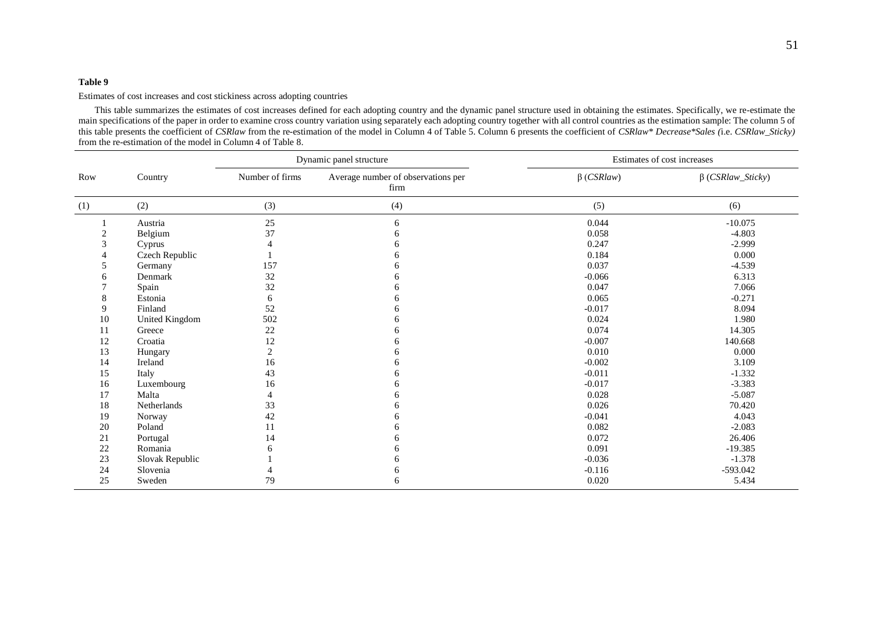Estimates of cost increases and cost stickiness across adopting countries

This table summarizes the estimates of cost increases defined for each adopting country and the dynamic panel structure used in obtaining the estimates. Specifically, we re-estimate the main specifications of the paper in order to examine cross country variation using separately each adopting country together with all control countries as the estimation sample: The column 5 of this table presents the coefficient of *CSRlaw* from the re-estimation of the model in Column 4 of Table 5. Column 6 presents the coefficient of *CSRlaw\* Decrease\*Sales (*i.e. *CSRlaw\_Sticky)* from the re-estimation of the model in Column 4 of Table 8.

|                | Country         | Dynamic panel structure |                                            | Estimates of cost increases |                         |
|----------------|-----------------|-------------------------|--------------------------------------------|-----------------------------|-------------------------|
| Row            |                 | Number of firms         | Average number of observations per<br>firm | $\beta$ (CSRlaw)            | $\beta$ (CSRlaw_Sticky) |
| (1)            | (2)             | (3)                     | (4)                                        | (5)                         | (6)                     |
|                | Austria         | 25                      | 6                                          | 0.044                       | $-10.075$               |
| $\overline{c}$ | Belgium         | 37                      | 6                                          | 0.058                       | $-4.803$                |
| 3              | Cyprus          | 4                       |                                            | 0.247                       | $-2.999$                |
|                | Czech Republic  |                         | h                                          | 0.184                       | 0.000                   |
| 5              | Germany         | 157                     |                                            | 0.037                       | $-4.539$                |
| 6              | Denmark         | 32                      | h                                          | $-0.066$                    | 6.313                   |
|                | Spain           | 32                      | h                                          | 0.047                       | 7.066                   |
| 8              | Estonia         | 6                       |                                            | 0.065                       | $-0.271$                |
| 9              | Finland         | 52                      | h                                          | $-0.017$                    | 8.094                   |
| 10             | United Kingdom  | 502                     | h                                          | 0.024                       | 1.980                   |
| 11             | Greece          | $22\,$                  | n                                          | 0.074                       | 14.305                  |
| 12             | Croatia         | 12                      | h                                          | $-0.007$                    | 140.668                 |
| 13             | Hungary         | $\overline{c}$          |                                            | 0.010                       | 0.000                   |
| 14             | Ireland         | 16                      | n                                          | $-0.002$                    | 3.109                   |
| 15             | Italy           | 43                      | h                                          | $-0.011$                    | $-1.332$                |
| 16             | Luxembourg      | 16                      | h                                          | $-0.017$                    | $-3.383$                |
| 17             | Malta           | 4                       | h                                          | 0.028                       | $-5.087$                |
| 18             | Netherlands     | 33                      |                                            | 0.026                       | 70.420                  |
| 19             | Norway          | 42                      | n                                          | $-0.041$                    | 4.043                   |
| 20             | Poland          | 11                      | h                                          | 0.082                       | $-2.083$                |
| 21             | Portugal        | 14                      |                                            | 0.072                       | 26.406                  |
| 22             | Romania         | 6                       |                                            | 0.091                       | $-19.385$               |
| 23             | Slovak Republic |                         |                                            | $-0.036$                    | $-1.378$                |
| 24             | Slovenia        |                         | h                                          | $-0.116$                    | -593.042                |
| 25             | Sweden          | 79                      | 6                                          | 0.020                       | 5.434                   |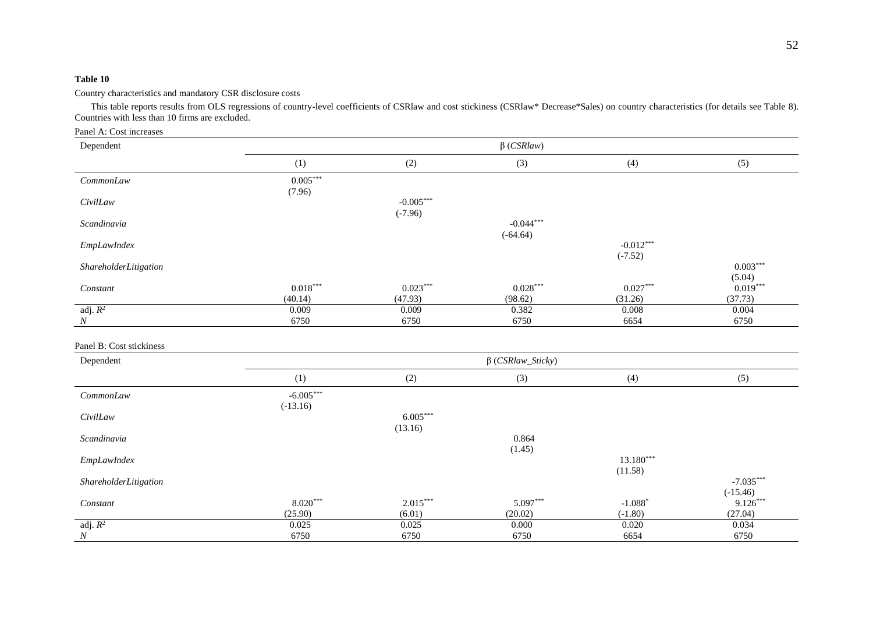Country characteristics and mandatory CSR disclosure costs

This table reports results from OLS regressions of country-level coefficients of CSRlaw and cost stickiness (CSRlaw\* Decrease\*Sales) on country characteristics (for details see Table 8). Countries with less than 10 firms are excluded.

| Panel A: Cost increases  |                           |                          |                           |                          |                           |  |
|--------------------------|---------------------------|--------------------------|---------------------------|--------------------------|---------------------------|--|
| Dependent                | $\beta$ (CSRlaw)          |                          |                           |                          |                           |  |
|                          | (1)                       | (2)                      | (3)                       | (4)                      | (5)                       |  |
| CommonLaw                | $0.005***$<br>(7.96)      |                          |                           |                          |                           |  |
| CivilLaw                 |                           | $-0.005***$<br>$(-7.96)$ |                           |                          |                           |  |
| Scandinavia              |                           |                          | $-0.044***$<br>$(-64.64)$ |                          |                           |  |
| EmpLawIndex              |                           |                          |                           | $-0.012***$<br>$(-7.52)$ |                           |  |
| ShareholderLitigation    |                           |                          |                           |                          | $0.003***$<br>(5.04)      |  |
| Constant                 | $0.018***$<br>(40.14)     | $0.023***$<br>(47.93)    | $0.028***$<br>(98.62)     | $0.027***$<br>(31.26)    | $0.019***$<br>(37.73)     |  |
| adj. $R^2$<br>$\cal N$   | 0.009<br>6750             | 0.009<br>6750            | 0.382<br>6750             | 0.008<br>6654            | 0.004<br>6750             |  |
| Panel B: Cost stickiness |                           |                          |                           |                          |                           |  |
| Dependent                | $\beta$ (CSRlaw_Sticky)   |                          |                           |                          |                           |  |
|                          | (1)                       | (2)                      | (3)                       | (4)                      | (5)                       |  |
| CommonLaw                | $-6.005***$<br>$(-13.16)$ |                          |                           |                          |                           |  |
| CivilLaw                 |                           | $6.005***$<br>(13.16)    |                           |                          |                           |  |
| Scandinavia              |                           |                          | 0.864<br>(1.45)           |                          |                           |  |
| EmpLawIndex              |                           |                          |                           | 13.180***<br>(11.58)     |                           |  |
| ShareholderLitigation    |                           |                          |                           |                          | $-7.035***$<br>$(-15.46)$ |  |
| Constant                 | $8.020***$<br>(25.90)     | $2.015***$<br>(6.01)     | 5.097***<br>(20.02)       | $-1.088*$<br>$(-1.80)$   | $9.126***$<br>(27.04)     |  |
| adj. $R^2$<br>$\cal N$   | 0.025<br>6750             | 0.025<br>6750            | 0.000<br>6750             | 0.020<br>6654            | 0.034<br>6750             |  |